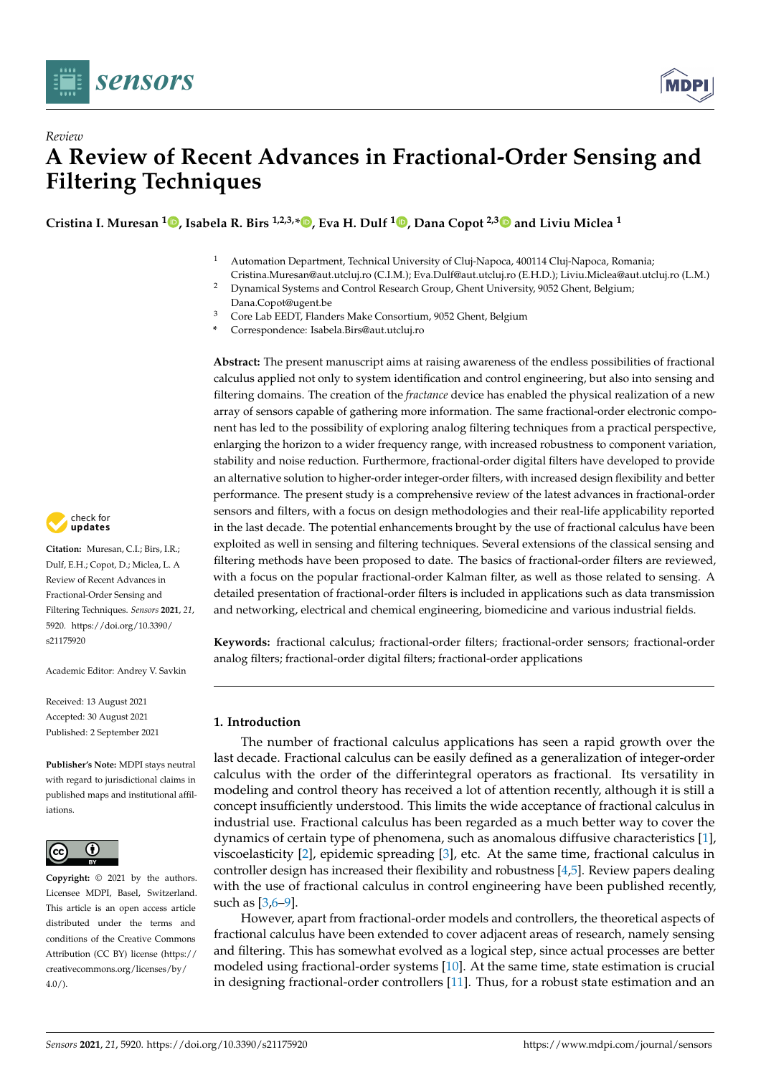

*Review*



# **A Review of Recent Advances in Fractional-Order Sensing and Filtering Techniques**

**Cristina I. Muresan <sup>1</sup> [,](https://orcid.org/0000-0003-2301-4133) Isabela R. Birs 1,2,3,[\\*](https://orcid.org/0000-0001-5658-850X) , Eva H. Dulf <sup>1</sup> [,](https://orcid.org/0000-0002-6540-6525) Dana Copot 2,[3](https://orcid.org/0000-0002-6010-830X) and Liviu Miclea <sup>1</sup>**

- <sup>1</sup> Automation Department, Technical University of Cluj-Napoca, 400114 Cluj-Napoca, Romania; Cristina.Muresan@aut.utcluj.ro (C.I.M.); Eva.Dulf@aut.utcluj.ro (E.H.D.); Liviu.Miclea@aut.utcluj.ro (L.M.)
- <sup>2</sup> Dynamical Systems and Control Research Group, Ghent University, 9052 Ghent, Belgium; Dana.Copot@ugent.be
- <sup>3</sup> Core Lab EEDT, Flanders Make Consortium, 9052 Ghent, Belgium
- **\*** Correspondence: Isabela.Birs@aut.utcluj.ro

**Abstract:** The present manuscript aims at raising awareness of the endless possibilities of fractional calculus applied not only to system identification and control engineering, but also into sensing and filtering domains. The creation of the *fractance* device has enabled the physical realization of a new array of sensors capable of gathering more information. The same fractional-order electronic component has led to the possibility of exploring analog filtering techniques from a practical perspective, enlarging the horizon to a wider frequency range, with increased robustness to component variation, stability and noise reduction. Furthermore, fractional-order digital filters have developed to provide an alternative solution to higher-order integer-order filters, with increased design flexibility and better performance. The present study is a comprehensive review of the latest advances in fractional-order sensors and filters, with a focus on design methodologies and their real-life applicability reported in the last decade. The potential enhancements brought by the use of fractional calculus have been exploited as well in sensing and filtering techniques. Several extensions of the classical sensing and filtering methods have been proposed to date. The basics of fractional-order filters are reviewed, with a focus on the popular fractional-order Kalman filter, as well as those related to sensing. A detailed presentation of fractional-order filters is included in applications such as data transmission and networking, electrical and chemical engineering, biomedicine and various industrial fields.

**Keywords:** fractional calculus; fractional-order filters; fractional-order sensors; fractional-order analog filters; fractional-order digital filters; fractional-order applications

## **1. Introduction**

The number of fractional calculus applications has seen a rapid growth over the last decade. Fractional calculus can be easily defined as a generalization of integer-order calculus with the order of the differintegral operators as fractional. Its versatility in modeling and control theory has received a lot of attention recently, although it is still a concept insufficiently understood. This limits the wide acceptance of fractional calculus in industrial use. Fractional calculus has been regarded as a much better way to cover the dynamics of certain type of phenomena, such as anomalous diffusive characteristics [\[1\]](#page-20-0), viscoelasticity [\[2\]](#page-20-1), epidemic spreading [\[3\]](#page-20-2), etc. At the same time, fractional calculus in controller design has increased their flexibility and robustness [\[4](#page-20-3)[,5\]](#page-20-4). Review papers dealing with the use of fractional calculus in control engineering have been published recently, such as [\[3,](#page-20-2)[6–](#page-20-5)[9\]](#page-20-6).

However, apart from fractional-order models and controllers, the theoretical aspects of fractional calculus have been extended to cover adjacent areas of research, namely sensing and filtering. This has somewhat evolved as a logical step, since actual processes are better modeled using fractional-order systems [\[10\]](#page-20-7). At the same time, state estimation is crucial in designing fractional-order controllers [\[11\]](#page-20-8). Thus, for a robust state estimation and an



**Citation:** Muresan, C.I.; Birs, I.R.; Dulf, E.H.; Copot, D.; Miclea, L. A Review of Recent Advances in Fractional-Order Sensing and Filtering Techniques. *Sensors* **2021**, *21*, 5920. [https://doi.org/10.3390/](https://doi.org/10.3390/s21175920) [s21175920](https://doi.org/10.3390/s21175920)

Academic Editor: Andrey V. Savkin

Received: 13 August 2021 Accepted: 30 August 2021 Published: 2 September 2021

**Publisher's Note:** MDPI stays neutral with regard to jurisdictional claims in published maps and institutional affiliations.



**Copyright:** © 2021 by the authors. Licensee MDPI, Basel, Switzerland. This article is an open access article distributed under the terms and conditions of the Creative Commons Attribution (CC BY) license (https:/[/](https://creativecommons.org/licenses/by/4.0/) [creativecommons.org/licenses/by/](https://creativecommons.org/licenses/by/4.0/)  $4.0/$ ).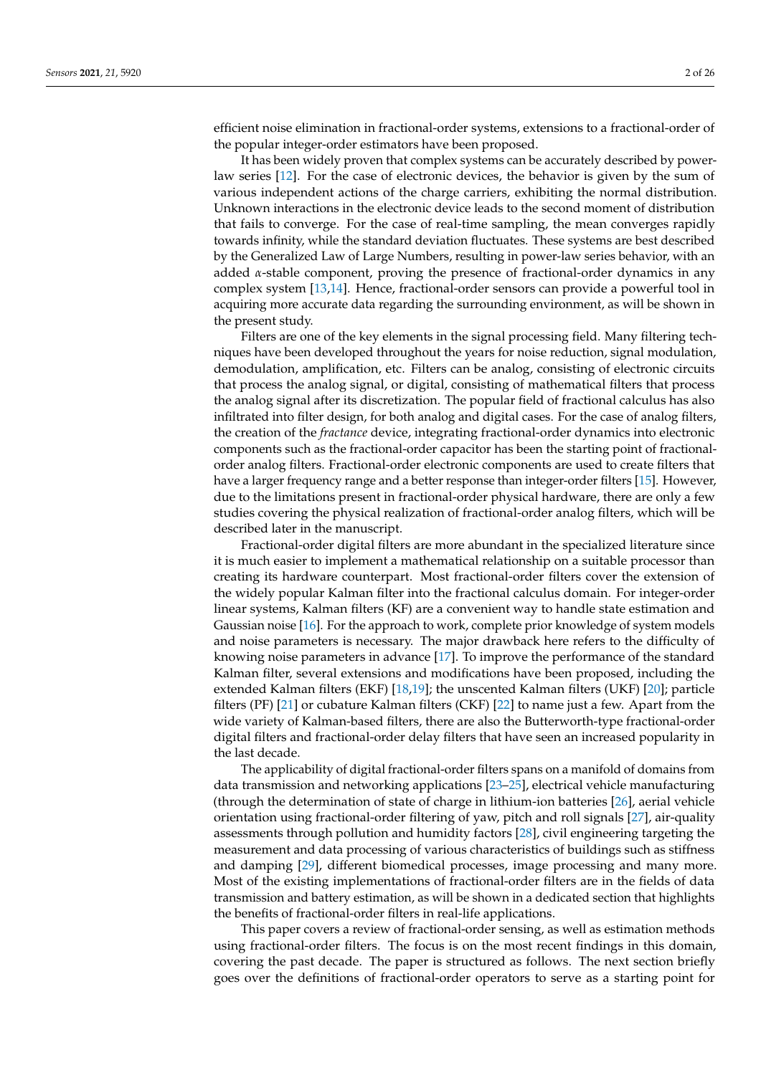efficient noise elimination in fractional-order systems, extensions to a fractional-order of the popular integer-order estimators have been proposed.

It has been widely proven that complex systems can be accurately described by powerlaw series [\[12\]](#page-20-9). For the case of electronic devices, the behavior is given by the sum of various independent actions of the charge carriers, exhibiting the normal distribution. Unknown interactions in the electronic device leads to the second moment of distribution that fails to converge. For the case of real-time sampling, the mean converges rapidly towards infinity, while the standard deviation fluctuates. These systems are best described by the Generalized Law of Large Numbers, resulting in power-law series behavior, with an added  $\alpha$ -stable component, proving the presence of fractional-order dynamics in any complex system [\[13](#page-20-10)[,14\]](#page-20-11). Hence, fractional-order sensors can provide a powerful tool in acquiring more accurate data regarding the surrounding environment, as will be shown in the present study.

Filters are one of the key elements in the signal processing field. Many filtering techniques have been developed throughout the years for noise reduction, signal modulation, demodulation, amplification, etc. Filters can be analog, consisting of electronic circuits that process the analog signal, or digital, consisting of mathematical filters that process the analog signal after its discretization. The popular field of fractional calculus has also infiltrated into filter design, for both analog and digital cases. For the case of analog filters, the creation of the *fractance* device, integrating fractional-order dynamics into electronic components such as the fractional-order capacitor has been the starting point of fractionalorder analog filters. Fractional-order electronic components are used to create filters that have a larger frequency range and a better response than integer-order filters [\[15\]](#page-20-12). However, due to the limitations present in fractional-order physical hardware, there are only a few studies covering the physical realization of fractional-order analog filters, which will be described later in the manuscript.

Fractional-order digital filters are more abundant in the specialized literature since it is much easier to implement a mathematical relationship on a suitable processor than creating its hardware counterpart. Most fractional-order filters cover the extension of the widely popular Kalman filter into the fractional calculus domain. For integer-order linear systems, Kalman filters (KF) are a convenient way to handle state estimation and Gaussian noise [\[16\]](#page-20-13). For the approach to work, complete prior knowledge of system models and noise parameters is necessary. The major drawback here refers to the difficulty of knowing noise parameters in advance [\[17\]](#page-20-14). To improve the performance of the standard Kalman filter, several extensions and modifications have been proposed, including the extended Kalman filters (EKF) [\[18](#page-20-15)[,19\]](#page-20-16); the unscented Kalman filters (UKF) [\[20\]](#page-20-17); particle filters (PF) [\[21\]](#page-20-18) or cubature Kalman filters (CKF) [\[22\]](#page-20-19) to name just a few. Apart from the wide variety of Kalman-based filters, there are also the Butterworth-type fractional-order digital filters and fractional-order delay filters that have seen an increased popularity in the last decade.

The applicability of digital fractional-order filters spans on a manifold of domains from data transmission and networking applications [\[23](#page-20-20)[–25\]](#page-20-21), electrical vehicle manufacturing (through the determination of state of charge in lithium-ion batteries [\[26\]](#page-20-22), aerial vehicle orientation using fractional-order filtering of yaw, pitch and roll signals [\[27\]](#page-20-23), air-quality assessments through pollution and humidity factors [\[28\]](#page-20-24), civil engineering targeting the measurement and data processing of various characteristics of buildings such as stiffness and damping [\[29\]](#page-20-25), different biomedical processes, image processing and many more. Most of the existing implementations of fractional-order filters are in the fields of data transmission and battery estimation, as will be shown in a dedicated section that highlights the benefits of fractional-order filters in real-life applications.

This paper covers a review of fractional-order sensing, as well as estimation methods using fractional-order filters. The focus is on the most recent findings in this domain, covering the past decade. The paper is structured as follows. The next section briefly goes over the definitions of fractional-order operators to serve as a starting point for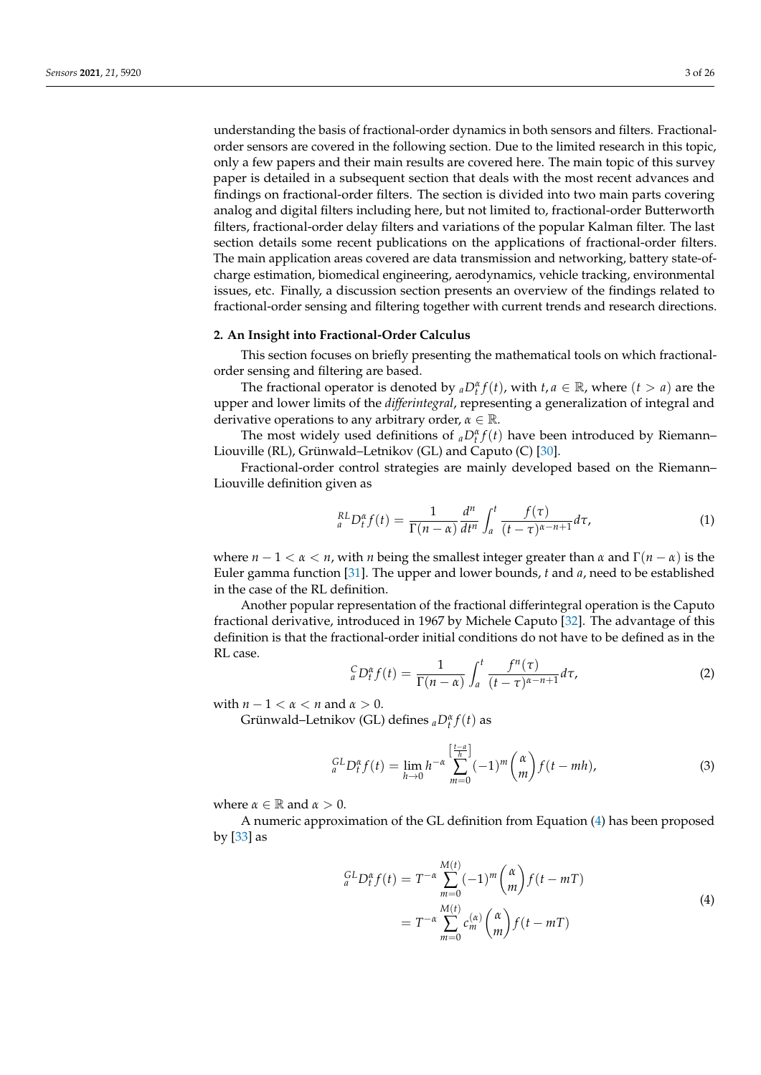understanding the basis of fractional-order dynamics in both sensors and filters. Fractionalorder sensors are covered in the following section. Due to the limited research in this topic, only a few papers and their main results are covered here. The main topic of this survey paper is detailed in a subsequent section that deals with the most recent advances and findings on fractional-order filters. The section is divided into two main parts covering analog and digital filters including here, but not limited to, fractional-order Butterworth filters, fractional-order delay filters and variations of the popular Kalman filter. The last section details some recent publications on the applications of fractional-order filters. The main application areas covered are data transmission and networking, battery state-ofcharge estimation, biomedical engineering, aerodynamics, vehicle tracking, environmental

#### **2. An Insight into Fractional-Order Calculus**

This section focuses on briefly presenting the mathematical tools on which fractionalorder sensing and filtering are based.

issues, etc. Finally, a discussion section presents an overview of the findings related to fractional-order sensing and filtering together with current trends and research directions.

The fractional operator is denoted by  ${_aD_t^{\alpha}}f(t)$ , with  $t, a \in \mathbb{R}$ , where  $(t > a)$  are the upper and lower limits of the *differintegral*, representing a generalization of integral and derivative operations to any arbitrary order, *α* ∈ R.

The most widely used definitions of  ${_aD_t^{\alpha}}f(t)$  have been introduced by Riemann– Liouville (RL), Grünwald–Letnikov (GL) and Caputo (C) [\[30\]](#page-21-0).

Fractional-order control strategies are mainly developed based on the Riemann– Liouville definition given as

$$
{}_{a}^{RL}D_{t}^{\alpha}f(t) = \frac{1}{\Gamma(n-\alpha)}\frac{d^{n}}{dt^{n}}\int_{a}^{t}\frac{f(\tau)}{(t-\tau)^{\alpha-n+1}}d\tau,
$$
\n(1)

where  $n - 1 < \alpha < n$ , with *n* being the smallest integer greater than  $\alpha$  and  $\Gamma(n - \alpha)$  is the Euler gamma function [\[31\]](#page-21-1). The upper and lower bounds, *t* and *a*, need to be established in the case of the RL definition.

Another popular representation of the fractional differintegral operation is the Caputo fractional derivative, introduced in 1967 by Michele Caputo [\[32\]](#page-21-2). The advantage of this definition is that the fractional-order initial conditions do not have to be defined as in the RL case.

$$
{}_{a}^{C}D_{t}^{\alpha}f(t) = \frac{1}{\Gamma(n-\alpha)} \int_{a}^{t} \frac{f^{n}(\tau)}{(t-\tau)^{\alpha-n+1}} d\tau, \tag{2}
$$

with  $n - 1 < \alpha < n$  and  $\alpha > 0$ .

Grünwald–Letnikov (GL) defines *<sup>a</sup>D<sup>α</sup> t f*(*t*) as

$$
{}_{a}^{GL}D_{t}^{\alpha}f(t) = \lim_{h \to 0} h^{-\alpha} \sum_{m=0}^{\left[\frac{t-a}{h}\right]} (-1)^{m} {\alpha \choose m} f(t - mh), \tag{3}
$$

where  $\alpha \in \mathbb{R}$  and  $\alpha > 0$ .

A numeric approximation of the GL definition from Equation [\(4\)](#page-2-0) has been proposed by [\[33\]](#page-21-3) as

<span id="page-2-0"></span>
$$
{}_{a}^{GL}D_{t}^{\alpha}f(t) = T^{-\alpha} \sum_{m=0}^{M(t)} (-1)^{m} {(\alpha \choose m} f(t - mT)
$$
  
= 
$$
T^{-\alpha} \sum_{m=0}^{M(t)} c_{m}^{(\alpha)} {(\alpha \choose m} f(t - mT)
$$
 (4)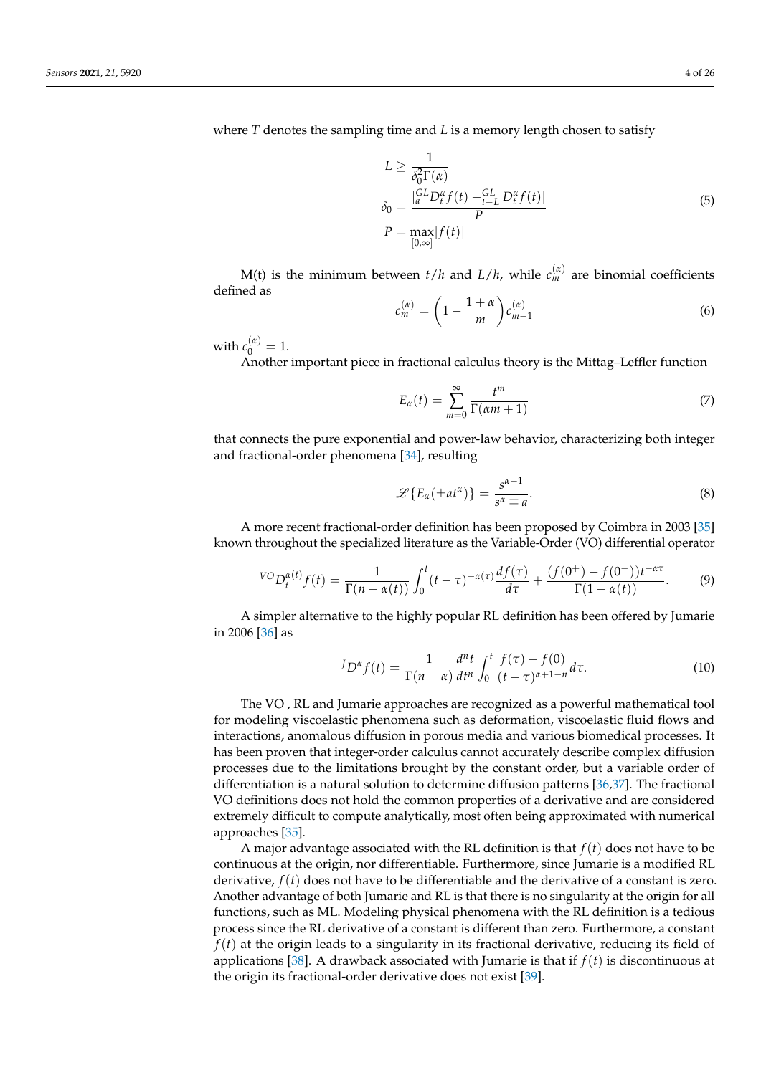where *T* denotes the sampling time and *L* is a memory length chosen to satisfy

$$
L \ge \frac{1}{\delta_0^2 \Gamma(\alpha)}
$$
  
\n
$$
\delta_0 = \frac{|_{a}^{GL} D_f^{\alpha} f(t) - L_{LL}^{GL} D_f^{\alpha} f(t)|}{P}
$$
  
\n
$$
P = \max_{[0,\infty]} |f(t)|
$$
\n(5)

M(t) is the minimum between  $t/h$  and  $L/h$ , while  $c_m^{(\alpha)}$  are binomial coefficients defined as

$$
c_m^{(\alpha)} = \left(1 - \frac{1 + \alpha}{m}\right) c_{m-1}^{(\alpha)} \tag{6}
$$

with  $c_0^{(\alpha)} = 1$ .

Another important piece in fractional calculus theory is the Mittag–Leffler function

$$
E_{\alpha}(t) = \sum_{m=0}^{\infty} \frac{t^m}{\Gamma(\alpha m + 1)}
$$
\n(7)

that connects the pure exponential and power-law behavior, characterizing both integer and fractional-order phenomena [\[34\]](#page-21-4), resulting

$$
\mathscr{L}\left\{E_{\alpha}(\pm at^{\alpha})\right\} = \frac{s^{\alpha-1}}{s^{\alpha} \mp a}.
$$
\n(8)

A more recent fractional-order definition has been proposed by Coimbra in 2003 [\[35\]](#page-21-5) known throughout the specialized literature as the Variable-Order (VO) differential operator

$$
{}^{VO}D_t^{\alpha(t)}f(t) = \frac{1}{\Gamma(n-\alpha(t))} \int_0^t (t-\tau)^{-\alpha(\tau)} \frac{df(\tau)}{d\tau} + \frac{(f(0^+) - f(0^-))t^{-\alpha\tau}}{\Gamma(1-\alpha(t))}.
$$
 (9)

A simpler alternative to the highly popular RL definition has been offered by Jumarie in 2006 [\[36\]](#page-21-6) as

$$
{}^{J}D^{\alpha}f(t) = \frac{1}{\Gamma(n-\alpha)} \frac{d^{n}t}{dt^{n}} \int_{0}^{t} \frac{f(\tau) - f(0)}{(t-\tau)^{\alpha+1-n}} d\tau.
$$
 (10)

The VO , RL and Jumarie approaches are recognized as a powerful mathematical tool for modeling viscoelastic phenomena such as deformation, viscoelastic fluid flows and interactions, anomalous diffusion in porous media and various biomedical processes. It has been proven that integer-order calculus cannot accurately describe complex diffusion processes due to the limitations brought by the constant order, but a variable order of differentiation is a natural solution to determine diffusion patterns [\[36,](#page-21-6)[37\]](#page-21-7). The fractional VO definitions does not hold the common properties of a derivative and are considered extremely difficult to compute analytically, most often being approximated with numerical approaches [\[35\]](#page-21-5).

A major advantage associated with the RL definition is that *f*(*t*) does not have to be continuous at the origin, nor differentiable. Furthermore, since Jumarie is a modified RL derivative, *f*(*t*) does not have to be differentiable and the derivative of a constant is zero. Another advantage of both Jumarie and RL is that there is no singularity at the origin for all functions, such as ML. Modeling physical phenomena with the RL definition is a tedious process since the RL derivative of a constant is different than zero. Furthermore, a constant *f*(*t*) at the origin leads to a singularity in its fractional derivative, reducing its field of applications [\[38\]](#page-21-8). A drawback associated with Jumarie is that if *f*(*t*) is discontinuous at the origin its fractional-order derivative does not exist [\[39\]](#page-21-9).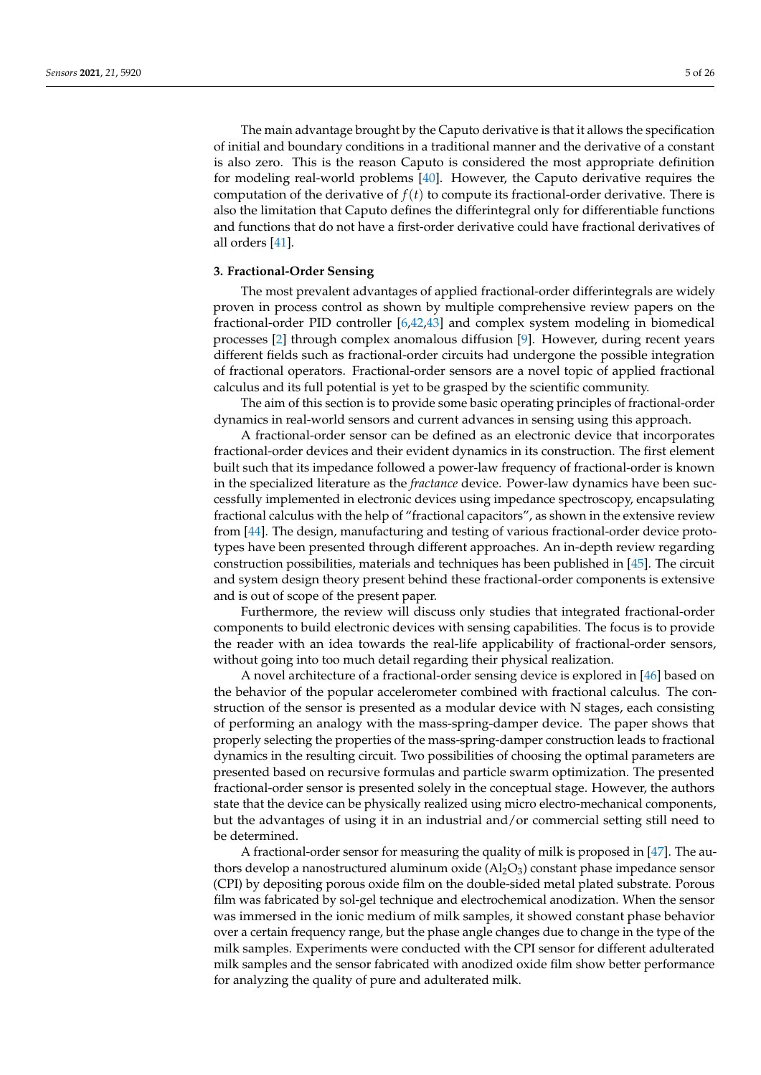The main advantage brought by the Caputo derivative is that it allows the specification of initial and boundary conditions in a traditional manner and the derivative of a constant is also zero. This is the reason Caputo is considered the most appropriate definition for modeling real-world problems [\[40\]](#page-21-10). However, the Caputo derivative requires the computation of the derivative of  $f(t)$  to compute its fractional-order derivative. There is also the limitation that Caputo defines the differintegral only for differentiable functions and functions that do not have a first-order derivative could have fractional derivatives of all orders [\[41\]](#page-21-11).

## <span id="page-4-0"></span>**3. Fractional-Order Sensing**

The most prevalent advantages of applied fractional-order differintegrals are widely proven in process control as shown by multiple comprehensive review papers on the fractional-order PID controller [\[6](#page-20-5)[,42](#page-21-12)[,43\]](#page-21-13) and complex system modeling in biomedical processes [\[2\]](#page-20-1) through complex anomalous diffusion [\[9\]](#page-20-6). However, during recent years different fields such as fractional-order circuits had undergone the possible integration of fractional operators. Fractional-order sensors are a novel topic of applied fractional calculus and its full potential is yet to be grasped by the scientific community.

The aim of this section is to provide some basic operating principles of fractional-order dynamics in real-world sensors and current advances in sensing using this approach.

A fractional-order sensor can be defined as an electronic device that incorporates fractional-order devices and their evident dynamics in its construction. The first element built such that its impedance followed a power-law frequency of fractional-order is known in the specialized literature as the *fractance* device. Power-law dynamics have been successfully implemented in electronic devices using impedance spectroscopy, encapsulating fractional calculus with the help of "fractional capacitors", as shown in the extensive review from [\[44\]](#page-21-14). The design, manufacturing and testing of various fractional-order device prototypes have been presented through different approaches. An in-depth review regarding construction possibilities, materials and techniques has been published in [\[45\]](#page-21-15). The circuit and system design theory present behind these fractional-order components is extensive and is out of scope of the present paper.

Furthermore, the review will discuss only studies that integrated fractional-order components to build electronic devices with sensing capabilities. The focus is to provide the reader with an idea towards the real-life applicability of fractional-order sensors, without going into too much detail regarding their physical realization.

A novel architecture of a fractional-order sensing device is explored in [\[46\]](#page-21-16) based on the behavior of the popular accelerometer combined with fractional calculus. The construction of the sensor is presented as a modular device with N stages, each consisting of performing an analogy with the mass-spring-damper device. The paper shows that properly selecting the properties of the mass-spring-damper construction leads to fractional dynamics in the resulting circuit. Two possibilities of choosing the optimal parameters are presented based on recursive formulas and particle swarm optimization. The presented fractional-order sensor is presented solely in the conceptual stage. However, the authors state that the device can be physically realized using micro electro-mechanical components, but the advantages of using it in an industrial and/or commercial setting still need to be determined.

A fractional-order sensor for measuring the quality of milk is proposed in [\[47\]](#page-21-17). The authors develop a nanostructured aluminum oxide  $(A_2O_3)$  constant phase impedance sensor (CPI) by depositing porous oxide film on the double-sided metal plated substrate. Porous film was fabricated by sol-gel technique and electrochemical anodization. When the sensor was immersed in the ionic medium of milk samples, it showed constant phase behavior over a certain frequency range, but the phase angle changes due to change in the type of the milk samples. Experiments were conducted with the CPI sensor for different adulterated milk samples and the sensor fabricated with anodized oxide film show better performance for analyzing the quality of pure and adulterated milk.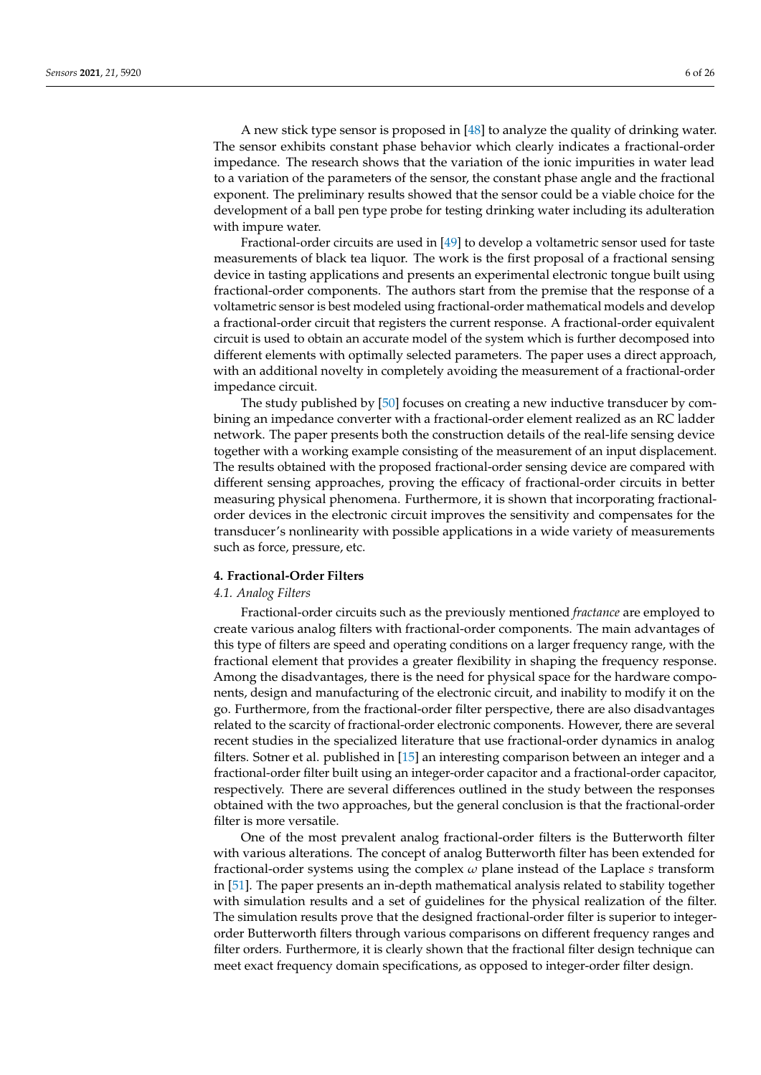A new stick type sensor is proposed in [\[48\]](#page-21-18) to analyze the quality of drinking water. The sensor exhibits constant phase behavior which clearly indicates a fractional-order impedance. The research shows that the variation of the ionic impurities in water lead to a variation of the parameters of the sensor, the constant phase angle and the fractional exponent. The preliminary results showed that the sensor could be a viable choice for the development of a ball pen type probe for testing drinking water including its adulteration with impure water.

Fractional-order circuits are used in [\[49\]](#page-21-19) to develop a voltametric sensor used for taste measurements of black tea liquor. The work is the first proposal of a fractional sensing device in tasting applications and presents an experimental electronic tongue built using fractional-order components. The authors start from the premise that the response of a voltametric sensor is best modeled using fractional-order mathematical models and develop a fractional-order circuit that registers the current response. A fractional-order equivalent circuit is used to obtain an accurate model of the system which is further decomposed into different elements with optimally selected parameters. The paper uses a direct approach, with an additional novelty in completely avoiding the measurement of a fractional-order impedance circuit.

The study published by [\[50\]](#page-21-20) focuses on creating a new inductive transducer by combining an impedance converter with a fractional-order element realized as an RC ladder network. The paper presents both the construction details of the real-life sensing device together with a working example consisting of the measurement of an input displacement. The results obtained with the proposed fractional-order sensing device are compared with different sensing approaches, proving the efficacy of fractional-order circuits in better measuring physical phenomena. Furthermore, it is shown that incorporating fractionalorder devices in the electronic circuit improves the sensitivity and compensates for the transducer's nonlinearity with possible applications in a wide variety of measurements such as force, pressure, etc.

#### **4. Fractional-Order Filters**

## *4.1. Analog Filters*

Fractional-order circuits such as the previously mentioned *fractance* are employed to create various analog filters with fractional-order components. The main advantages of this type of filters are speed and operating conditions on a larger frequency range, with the fractional element that provides a greater flexibility in shaping the frequency response. Among the disadvantages, there is the need for physical space for the hardware components, design and manufacturing of the electronic circuit, and inability to modify it on the go. Furthermore, from the fractional-order filter perspective, there are also disadvantages related to the scarcity of fractional-order electronic components. However, there are several recent studies in the specialized literature that use fractional-order dynamics in analog filters. Sotner et al. published in [\[15\]](#page-20-12) an interesting comparison between an integer and a fractional-order filter built using an integer-order capacitor and a fractional-order capacitor, respectively. There are several differences outlined in the study between the responses obtained with the two approaches, but the general conclusion is that the fractional-order filter is more versatile.

One of the most prevalent analog fractional-order filters is the Butterworth filter with various alterations. The concept of analog Butterworth filter has been extended for fractional-order systems using the complex *ω* plane instead of the Laplace *s* transform in [\[51\]](#page-21-21). The paper presents an in-depth mathematical analysis related to stability together with simulation results and a set of guidelines for the physical realization of the filter. The simulation results prove that the designed fractional-order filter is superior to integerorder Butterworth filters through various comparisons on different frequency ranges and filter orders. Furthermore, it is clearly shown that the fractional filter design technique can meet exact frequency domain specifications, as opposed to integer-order filter design.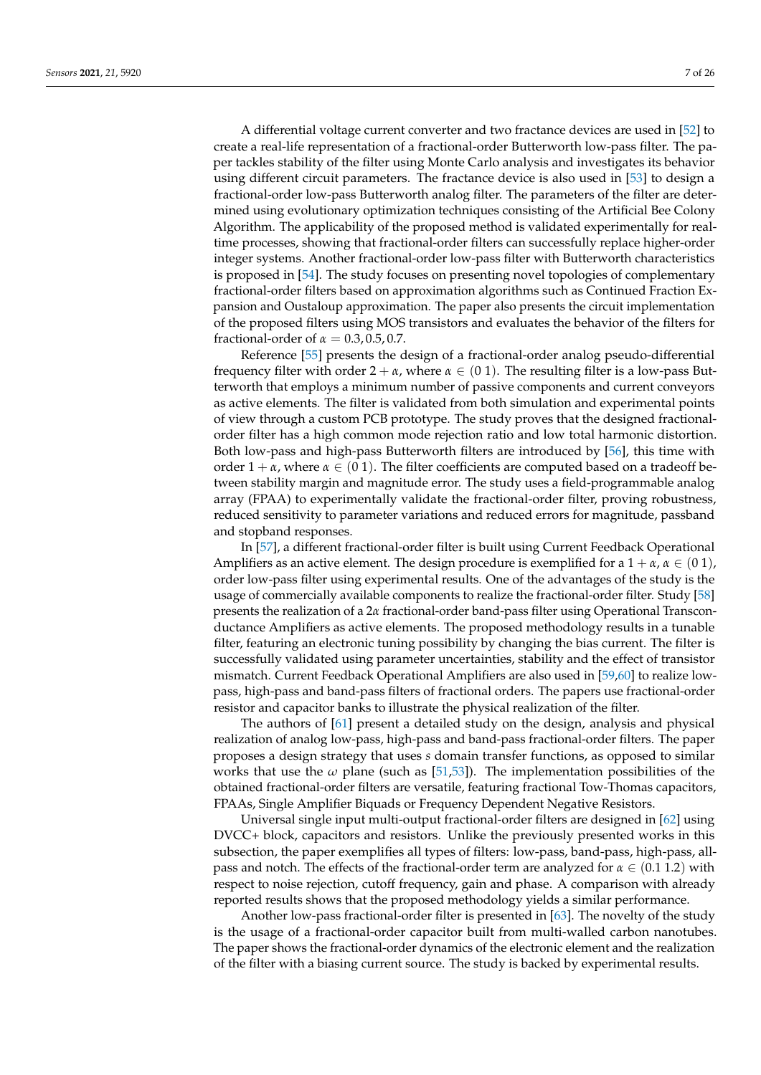A differential voltage current converter and two fractance devices are used in [\[52\]](#page-21-22) to create a real-life representation of a fractional-order Butterworth low-pass filter. The paper tackles stability of the filter using Monte Carlo analysis and investigates its behavior using different circuit parameters. The fractance device is also used in [\[53\]](#page-21-23) to design a fractional-order low-pass Butterworth analog filter. The parameters of the filter are determined using evolutionary optimization techniques consisting of the Artificial Bee Colony Algorithm. The applicability of the proposed method is validated experimentally for realtime processes, showing that fractional-order filters can successfully replace higher-order integer systems. Another fractional-order low-pass filter with Butterworth characteristics is proposed in [\[54\]](#page-21-24). The study focuses on presenting novel topologies of complementary fractional-order filters based on approximation algorithms such as Continued Fraction Expansion and Oustaloup approximation. The paper also presents the circuit implementation of the proposed filters using MOS transistors and evaluates the behavior of the filters for fractional-order of  $\alpha = 0.3, 0.5, 0.7$ .

Reference [\[55\]](#page-21-25) presents the design of a fractional-order analog pseudo-differential frequency filter with order  $2 + \alpha$ , where  $\alpha \in (0, 1)$ . The resulting filter is a low-pass Butterworth that employs a minimum number of passive components and current conveyors as active elements. The filter is validated from both simulation and experimental points of view through a custom PCB prototype. The study proves that the designed fractionalorder filter has a high common mode rejection ratio and low total harmonic distortion. Both low-pass and high-pass Butterworth filters are introduced by [\[56\]](#page-21-26), this time with order  $1 + \alpha$ , where  $\alpha \in (0, 1)$ . The filter coefficients are computed based on a tradeoff between stability margin and magnitude error. The study uses a field-programmable analog array (FPAA) to experimentally validate the fractional-order filter, proving robustness, reduced sensitivity to parameter variations and reduced errors for magnitude, passband and stopband responses.

In [\[57\]](#page-21-27), a different fractional-order filter is built using Current Feedback Operational Amplifiers as an active element. The design procedure is exemplified for a  $1 + \alpha$ ,  $\alpha \in (0, 1)$ , order low-pass filter using experimental results. One of the advantages of the study is the usage of commercially available components to realize the fractional-order filter. Study [\[58\]](#page-21-28) presents the realization of a 2*α* fractional-order band-pass filter using Operational Transconductance Amplifiers as active elements. The proposed methodology results in a tunable filter, featuring an electronic tuning possibility by changing the bias current. The filter is successfully validated using parameter uncertainties, stability and the effect of transistor mismatch. Current Feedback Operational Amplifiers are also used in [\[59,](#page-21-29)[60\]](#page-21-30) to realize lowpass, high-pass and band-pass filters of fractional orders. The papers use fractional-order resistor and capacitor banks to illustrate the physical realization of the filter.

The authors of [\[61\]](#page-22-0) present a detailed study on the design, analysis and physical realization of analog low-pass, high-pass and band-pass fractional-order filters. The paper proposes a design strategy that uses *s* domain transfer functions, as opposed to similar works that use the  $\omega$  plane (such as [\[51,](#page-21-21)[53\]](#page-21-23)). The implementation possibilities of the obtained fractional-order filters are versatile, featuring fractional Tow-Thomas capacitors, FPAAs, Single Amplifier Biquads or Frequency Dependent Negative Resistors.

Universal single input multi-output fractional-order filters are designed in [\[62\]](#page-22-1) using DVCC+ block, capacitors and resistors. Unlike the previously presented works in this subsection, the paper exemplifies all types of filters: low-pass, band-pass, high-pass, allpass and notch. The effects of the fractional-order term are analyzed for *α* ∈ (0.1 1.2) with respect to noise rejection, cutoff frequency, gain and phase. A comparison with already reported results shows that the proposed methodology yields a similar performance.

Another low-pass fractional-order filter is presented in [\[63\]](#page-22-2). The novelty of the study is the usage of a fractional-order capacitor built from multi-walled carbon nanotubes. The paper shows the fractional-order dynamics of the electronic element and the realization of the filter with a biasing current source. The study is backed by experimental results.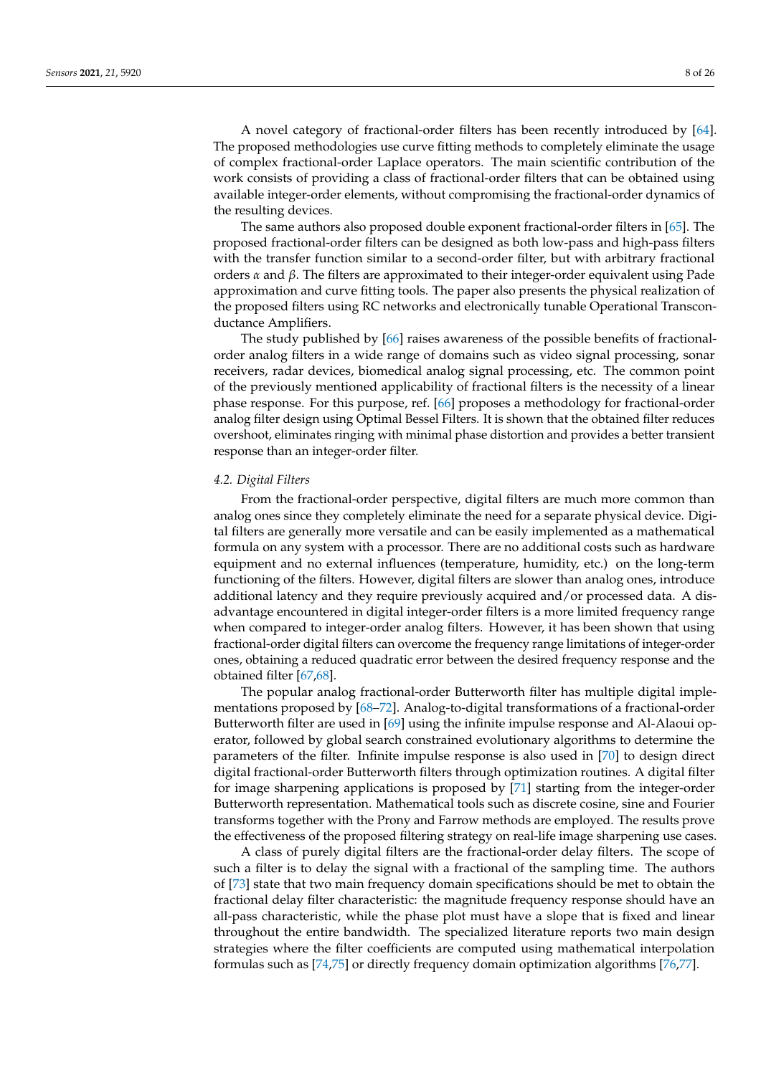A novel category of fractional-order filters has been recently introduced by [\[64\]](#page-22-3). The proposed methodologies use curve fitting methods to completely eliminate the usage of complex fractional-order Laplace operators. The main scientific contribution of the work consists of providing a class of fractional-order filters that can be obtained using available integer-order elements, without compromising the fractional-order dynamics of the resulting devices.

The same authors also proposed double exponent fractional-order filters in [\[65\]](#page-22-4). The proposed fractional-order filters can be designed as both low-pass and high-pass filters with the transfer function similar to a second-order filter, but with arbitrary fractional orders *α* and *β*. The filters are approximated to their integer-order equivalent using Pade approximation and curve fitting tools. The paper also presents the physical realization of the proposed filters using RC networks and electronically tunable Operational Transconductance Amplifiers.

The study published by [\[66\]](#page-22-5) raises awareness of the possible benefits of fractionalorder analog filters in a wide range of domains such as video signal processing, sonar receivers, radar devices, biomedical analog signal processing, etc. The common point of the previously mentioned applicability of fractional filters is the necessity of a linear phase response. For this purpose, ref. [\[66\]](#page-22-5) proposes a methodology for fractional-order analog filter design using Optimal Bessel Filters. It is shown that the obtained filter reduces overshoot, eliminates ringing with minimal phase distortion and provides a better transient response than an integer-order filter.

#### *4.2. Digital Filters*

From the fractional-order perspective, digital filters are much more common than analog ones since they completely eliminate the need for a separate physical device. Digital filters are generally more versatile and can be easily implemented as a mathematical formula on any system with a processor. There are no additional costs such as hardware equipment and no external influences (temperature, humidity, etc.) on the long-term functioning of the filters. However, digital filters are slower than analog ones, introduce additional latency and they require previously acquired and/or processed data. A disadvantage encountered in digital integer-order filters is a more limited frequency range when compared to integer-order analog filters. However, it has been shown that using fractional-order digital filters can overcome the frequency range limitations of integer-order ones, obtaining a reduced quadratic error between the desired frequency response and the obtained filter [\[67,](#page-22-6)[68\]](#page-22-7).

The popular analog fractional-order Butterworth filter has multiple digital implementations proposed by [\[68–](#page-22-7)[72\]](#page-22-8). Analog-to-digital transformations of a fractional-order Butterworth filter are used in [\[69\]](#page-22-9) using the infinite impulse response and Al-Alaoui operator, followed by global search constrained evolutionary algorithms to determine the parameters of the filter. Infinite impulse response is also used in [\[70\]](#page-22-10) to design direct digital fractional-order Butterworth filters through optimization routines. A digital filter for image sharpening applications is proposed by [\[71\]](#page-22-11) starting from the integer-order Butterworth representation. Mathematical tools such as discrete cosine, sine and Fourier transforms together with the Prony and Farrow methods are employed. The results prove the effectiveness of the proposed filtering strategy on real-life image sharpening use cases.

A class of purely digital filters are the fractional-order delay filters. The scope of such a filter is to delay the signal with a fractional of the sampling time. The authors of [\[73\]](#page-22-12) state that two main frequency domain specifications should be met to obtain the fractional delay filter characteristic: the magnitude frequency response should have an all-pass characteristic, while the phase plot must have a slope that is fixed and linear throughout the entire bandwidth. The specialized literature reports two main design strategies where the filter coefficients are computed using mathematical interpolation formulas such as [\[74](#page-22-13)[,75\]](#page-22-14) or directly frequency domain optimization algorithms [\[76,](#page-22-15)[77\]](#page-22-16).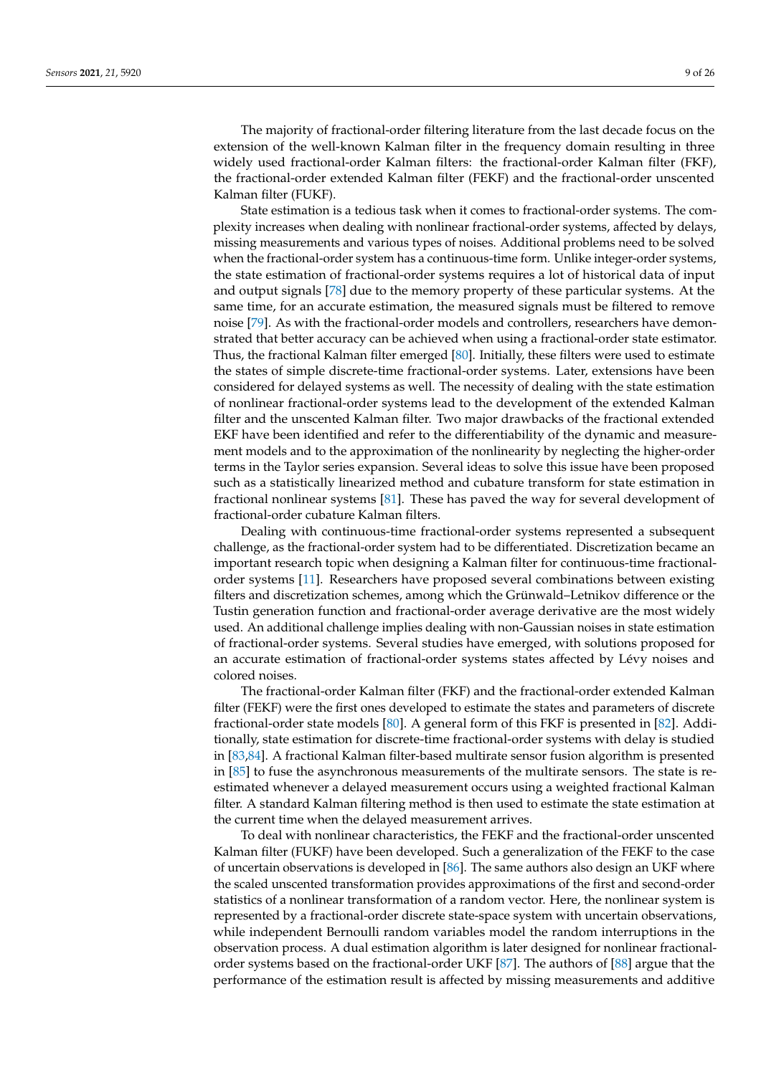The majority of fractional-order filtering literature from the last decade focus on the extension of the well-known Kalman filter in the frequency domain resulting in three widely used fractional-order Kalman filters: the fractional-order Kalman filter (FKF), the fractional-order extended Kalman filter (FEKF) and the fractional-order unscented Kalman filter (FUKF).

State estimation is a tedious task when it comes to fractional-order systems. The complexity increases when dealing with nonlinear fractional-order systems, affected by delays, missing measurements and various types of noises. Additional problems need to be solved when the fractional-order system has a continuous-time form. Unlike integer-order systems, the state estimation of fractional-order systems requires a lot of historical data of input and output signals [\[78\]](#page-22-17) due to the memory property of these particular systems. At the same time, for an accurate estimation, the measured signals must be filtered to remove noise [\[79\]](#page-22-18). As with the fractional-order models and controllers, researchers have demonstrated that better accuracy can be achieved when using a fractional-order state estimator. Thus, the fractional Kalman filter emerged [\[80\]](#page-22-19). Initially, these filters were used to estimate the states of simple discrete-time fractional-order systems. Later, extensions have been considered for delayed systems as well. The necessity of dealing with the state estimation of nonlinear fractional-order systems lead to the development of the extended Kalman filter and the unscented Kalman filter. Two major drawbacks of the fractional extended EKF have been identified and refer to the differentiability of the dynamic and measurement models and to the approximation of the nonlinearity by neglecting the higher-order terms in the Taylor series expansion. Several ideas to solve this issue have been proposed such as a statistically linearized method and cubature transform for state estimation in fractional nonlinear systems [\[81\]](#page-22-20). These has paved the way for several development of fractional-order cubature Kalman filters.

Dealing with continuous-time fractional-order systems represented a subsequent challenge, as the fractional-order system had to be differentiated. Discretization became an important research topic when designing a Kalman filter for continuous-time fractionalorder systems [\[11\]](#page-20-8). Researchers have proposed several combinations between existing filters and discretization schemes, among which the Grünwald–Letnikov difference or the Tustin generation function and fractional-order average derivative are the most widely used. An additional challenge implies dealing with non-Gaussian noises in state estimation of fractional-order systems. Several studies have emerged, with solutions proposed for an accurate estimation of fractional-order systems states affected by Lévy noises and colored noises.

The fractional-order Kalman filter (FKF) and the fractional-order extended Kalman filter (FEKF) were the first ones developed to estimate the states and parameters of discrete fractional-order state models [\[80\]](#page-22-19). A general form of this FKF is presented in [\[82\]](#page-22-21). Additionally, state estimation for discrete-time fractional-order systems with delay is studied in [\[83,](#page-22-22)[84\]](#page-22-23). A fractional Kalman filter-based multirate sensor fusion algorithm is presented in [\[85\]](#page-22-24) to fuse the asynchronous measurements of the multirate sensors. The state is reestimated whenever a delayed measurement occurs using a weighted fractional Kalman filter. A standard Kalman filtering method is then used to estimate the state estimation at the current time when the delayed measurement arrives.

To deal with nonlinear characteristics, the FEKF and the fractional-order unscented Kalman filter (FUKF) have been developed. Such a generalization of the FEKF to the case of uncertain observations is developed in [\[86\]](#page-22-25). The same authors also design an UKF where the scaled unscented transformation provides approximations of the first and second-order statistics of a nonlinear transformation of a random vector. Here, the nonlinear system is represented by a fractional-order discrete state-space system with uncertain observations, while independent Bernoulli random variables model the random interruptions in the observation process. A dual estimation algorithm is later designed for nonlinear fractionalorder systems based on the fractional-order UKF [\[87\]](#page-22-26). The authors of [\[88\]](#page-22-27) argue that the performance of the estimation result is affected by missing measurements and additive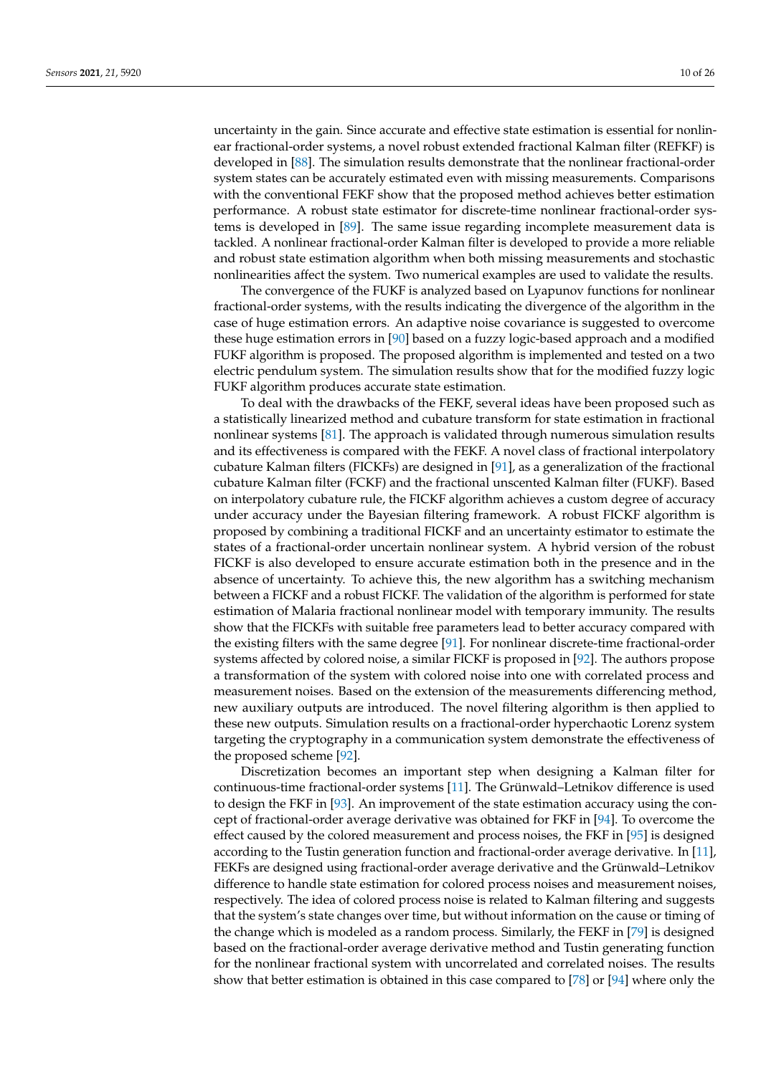uncertainty in the gain. Since accurate and effective state estimation is essential for nonlinear fractional-order systems, a novel robust extended fractional Kalman filter (REFKF) is developed in [\[88\]](#page-22-27). The simulation results demonstrate that the nonlinear fractional-order system states can be accurately estimated even with missing measurements. Comparisons with the conventional FEKF show that the proposed method achieves better estimation performance. A robust state estimator for discrete-time nonlinear fractional-order systems is developed in [\[89\]](#page-22-28). The same issue regarding incomplete measurement data is tackled. A nonlinear fractional-order Kalman filter is developed to provide a more reliable and robust state estimation algorithm when both missing measurements and stochastic nonlinearities affect the system. Two numerical examples are used to validate the results.

The convergence of the FUKF is analyzed based on Lyapunov functions for nonlinear fractional-order systems, with the results indicating the divergence of the algorithm in the case of huge estimation errors. An adaptive noise covariance is suggested to overcome these huge estimation errors in [\[90\]](#page-23-0) based on a fuzzy logic-based approach and a modified FUKF algorithm is proposed. The proposed algorithm is implemented and tested on a two electric pendulum system. The simulation results show that for the modified fuzzy logic FUKF algorithm produces accurate state estimation.

To deal with the drawbacks of the FEKF, several ideas have been proposed such as a statistically linearized method and cubature transform for state estimation in fractional nonlinear systems [\[81\]](#page-22-20). The approach is validated through numerous simulation results and its effectiveness is compared with the FEKF. A novel class of fractional interpolatory cubature Kalman filters (FICKFs) are designed in [\[91\]](#page-23-1), as a generalization of the fractional cubature Kalman filter (FCKF) and the fractional unscented Kalman filter (FUKF). Based on interpolatory cubature rule, the FICKF algorithm achieves a custom degree of accuracy under accuracy under the Bayesian filtering framework. A robust FICKF algorithm is proposed by combining a traditional FICKF and an uncertainty estimator to estimate the states of a fractional-order uncertain nonlinear system. A hybrid version of the robust FICKF is also developed to ensure accurate estimation both in the presence and in the absence of uncertainty. To achieve this, the new algorithm has a switching mechanism between a FICKF and a robust FICKF. The validation of the algorithm is performed for state estimation of Malaria fractional nonlinear model with temporary immunity. The results show that the FICKFs with suitable free parameters lead to better accuracy compared with the existing filters with the same degree [\[91\]](#page-23-1). For nonlinear discrete-time fractional-order systems affected by colored noise, a similar FICKF is proposed in [\[92\]](#page-23-2). The authors propose a transformation of the system with colored noise into one with correlated process and measurement noises. Based on the extension of the measurements differencing method, new auxiliary outputs are introduced. The novel filtering algorithm is then applied to these new outputs. Simulation results on a fractional-order hyperchaotic Lorenz system targeting the cryptography in a communication system demonstrate the effectiveness of the proposed scheme [\[92\]](#page-23-2).

Discretization becomes an important step when designing a Kalman filter for continuous-time fractional-order systems [\[11\]](#page-20-8). The Grünwald–Letnikov difference is used to design the FKF in [\[93\]](#page-23-3). An improvement of the state estimation accuracy using the concept of fractional-order average derivative was obtained for FKF in [\[94\]](#page-23-4). To overcome the effect caused by the colored measurement and process noises, the FKF in [\[95\]](#page-23-5) is designed according to the Tustin generation function and fractional-order average derivative. In [\[11\]](#page-20-8), FEKFs are designed using fractional-order average derivative and the Grünwald–Letnikov difference to handle state estimation for colored process noises and measurement noises, respectively. The idea of colored process noise is related to Kalman filtering and suggests that the system's state changes over time, but without information on the cause or timing of the change which is modeled as a random process. Similarly, the FEKF in [\[79\]](#page-22-18) is designed based on the fractional-order average derivative method and Tustin generating function for the nonlinear fractional system with uncorrelated and correlated noises. The results show that better estimation is obtained in this case compared to [\[78\]](#page-22-17) or [\[94\]](#page-23-4) where only the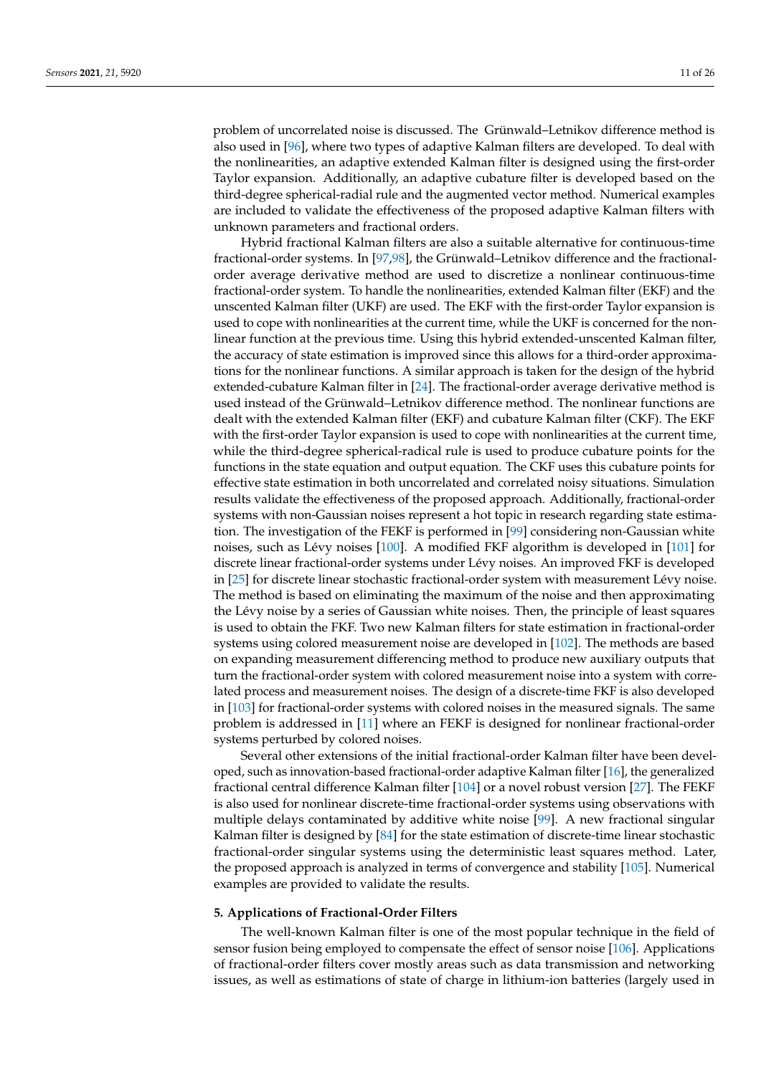problem of uncorrelated noise is discussed. The Grünwald–Letnikov difference method is also used in [\[96\]](#page-23-6), where two types of adaptive Kalman filters are developed. To deal with the nonlinearities, an adaptive extended Kalman filter is designed using the first-order Taylor expansion. Additionally, an adaptive cubature filter is developed based on the third-degree spherical-radial rule and the augmented vector method. Numerical examples are included to validate the effectiveness of the proposed adaptive Kalman filters with unknown parameters and fractional orders.

Hybrid fractional Kalman filters are also a suitable alternative for continuous-time fractional-order systems. In [\[97](#page-23-7)[,98\]](#page-23-8), the Grünwald–Letnikov difference and the fractionalorder average derivative method are used to discretize a nonlinear continuous-time fractional-order system. To handle the nonlinearities, extended Kalman filter (EKF) and the unscented Kalman filter (UKF) are used. The EKF with the first-order Taylor expansion is used to cope with nonlinearities at the current time, while the UKF is concerned for the nonlinear function at the previous time. Using this hybrid extended-unscented Kalman filter, the accuracy of state estimation is improved since this allows for a third-order approximations for the nonlinear functions. A similar approach is taken for the design of the hybrid extended-cubature Kalman filter in [\[24\]](#page-20-26). The fractional-order average derivative method is used instead of the Grünwald–Letnikov difference method. The nonlinear functions are dealt with the extended Kalman filter (EKF) and cubature Kalman filter (CKF). The EKF with the first-order Taylor expansion is used to cope with nonlinearities at the current time, while the third-degree spherical-radical rule is used to produce cubature points for the functions in the state equation and output equation. The CKF uses this cubature points for effective state estimation in both uncorrelated and correlated noisy situations. Simulation results validate the effectiveness of the proposed approach. Additionally, fractional-order systems with non-Gaussian noises represent a hot topic in research regarding state estimation. The investigation of the FEKF is performed in [\[99\]](#page-23-9) considering non-Gaussian white noises, such as Lévy noises [\[100\]](#page-23-10). A modified FKF algorithm is developed in [\[101\]](#page-23-11) for discrete linear fractional-order systems under Lévy noises. An improved FKF is developed in [\[25\]](#page-20-21) for discrete linear stochastic fractional-order system with measurement Lévy noise. The method is based on eliminating the maximum of the noise and then approximating the Lévy noise by a series of Gaussian white noises. Then, the principle of least squares is used to obtain the FKF. Two new Kalman filters for state estimation in fractional-order systems using colored measurement noise are developed in [\[102\]](#page-23-12). The methods are based on expanding measurement differencing method to produce new auxiliary outputs that turn the fractional-order system with colored measurement noise into a system with correlated process and measurement noises. The design of a discrete-time FKF is also developed in [\[103\]](#page-23-13) for fractional-order systems with colored noises in the measured signals. The same problem is addressed in [\[11\]](#page-20-8) where an FEKF is designed for nonlinear fractional-order systems perturbed by colored noises.

Several other extensions of the initial fractional-order Kalman filter have been developed, such as innovation-based fractional-order adaptive Kalman filter [\[16\]](#page-20-13), the generalized fractional central difference Kalman filter [\[104\]](#page-23-14) or a novel robust version [\[27\]](#page-20-23). The FEKF is also used for nonlinear discrete-time fractional-order systems using observations with multiple delays contaminated by additive white noise [\[99\]](#page-23-9). A new fractional singular Kalman filter is designed by [\[84\]](#page-22-23) for the state estimation of discrete-time linear stochastic fractional-order singular systems using the deterministic least squares method. Later, the proposed approach is analyzed in terms of convergence and stability [\[105\]](#page-23-15). Numerical examples are provided to validate the results.

#### **5. Applications of Fractional-Order Filters**

The well-known Kalman filter is one of the most popular technique in the field of sensor fusion being employed to compensate the effect of sensor noise [\[106\]](#page-23-16). Applications of fractional-order filters cover mostly areas such as data transmission and networking issues, as well as estimations of state of charge in lithium-ion batteries (largely used in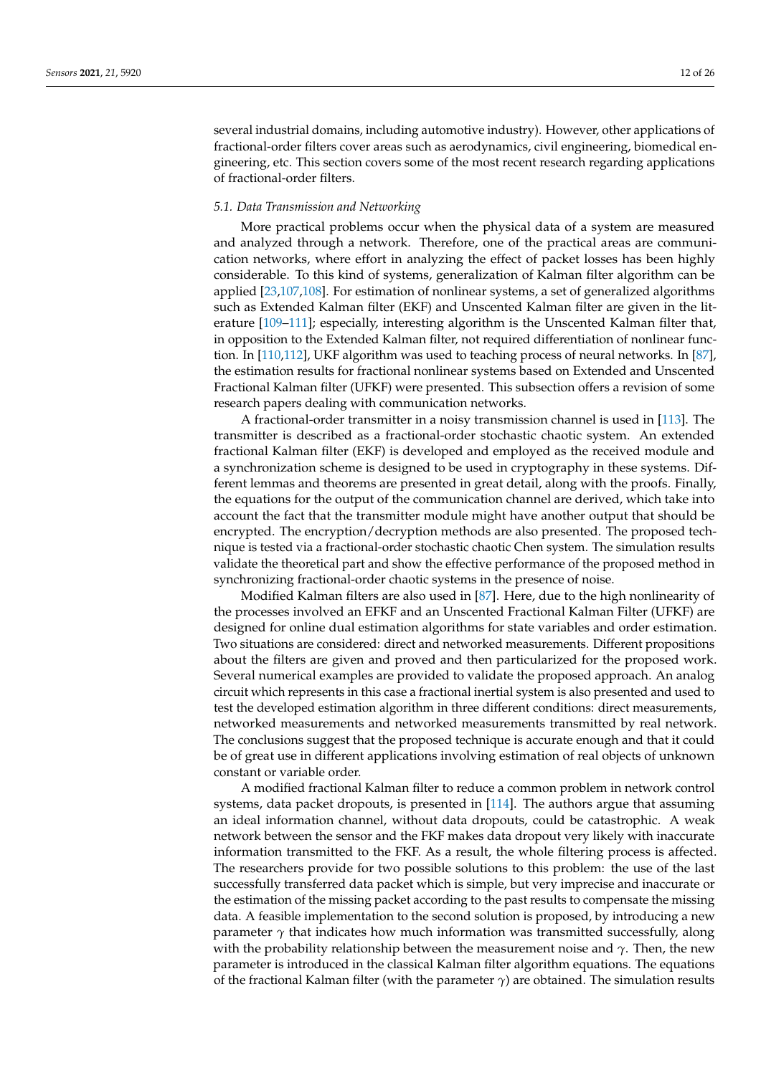several industrial domains, including automotive industry). However, other applications of fractional-order filters cover areas such as aerodynamics, civil engineering, biomedical engineering, etc. This section covers some of the most recent research regarding applications of fractional-order filters.

#### *5.1. Data Transmission and Networking*

More practical problems occur when the physical data of a system are measured and analyzed through a network. Therefore, one of the practical areas are communication networks, where effort in analyzing the effect of packet losses has been highly considerable. To this kind of systems, generalization of Kalman filter algorithm can be applied [\[23](#page-20-20)[,107,](#page-23-17)[108\]](#page-23-18). For estimation of nonlinear systems, a set of generalized algorithms such as Extended Kalman filter (EKF) and Unscented Kalman filter are given in the literature [\[109–](#page-23-19)[111\]](#page-23-20); especially, interesting algorithm is the Unscented Kalman filter that, in opposition to the Extended Kalman filter, not required differentiation of nonlinear function. In [\[110,](#page-23-21)[112\]](#page-23-22), UKF algorithm was used to teaching process of neural networks. In [\[87\]](#page-22-26), the estimation results for fractional nonlinear systems based on Extended and Unscented Fractional Kalman filter (UFKF) were presented. This subsection offers a revision of some research papers dealing with communication networks.

A fractional-order transmitter in a noisy transmission channel is used in [\[113\]](#page-23-23). The transmitter is described as a fractional-order stochastic chaotic system. An extended fractional Kalman filter (EKF) is developed and employed as the received module and a synchronization scheme is designed to be used in cryptography in these systems. Different lemmas and theorems are presented in great detail, along with the proofs. Finally, the equations for the output of the communication channel are derived, which take into account the fact that the transmitter module might have another output that should be encrypted. The encryption/decryption methods are also presented. The proposed technique is tested via a fractional-order stochastic chaotic Chen system. The simulation results validate the theoretical part and show the effective performance of the proposed method in synchronizing fractional-order chaotic systems in the presence of noise.

Modified Kalman filters are also used in [\[87\]](#page-22-26). Here, due to the high nonlinearity of the processes involved an EFKF and an Unscented Fractional Kalman Filter (UFKF) are designed for online dual estimation algorithms for state variables and order estimation. Two situations are considered: direct and networked measurements. Different propositions about the filters are given and proved and then particularized for the proposed work. Several numerical examples are provided to validate the proposed approach. An analog circuit which represents in this case a fractional inertial system is also presented and used to test the developed estimation algorithm in three different conditions: direct measurements, networked measurements and networked measurements transmitted by real network. The conclusions suggest that the proposed technique is accurate enough and that it could be of great use in different applications involving estimation of real objects of unknown constant or variable order.

A modified fractional Kalman filter to reduce a common problem in network control systems, data packet dropouts, is presented in [\[114\]](#page-23-24). The authors argue that assuming an ideal information channel, without data dropouts, could be catastrophic. A weak network between the sensor and the FKF makes data dropout very likely with inaccurate information transmitted to the FKF. As a result, the whole filtering process is affected. The researchers provide for two possible solutions to this problem: the use of the last successfully transferred data packet which is simple, but very imprecise and inaccurate or the estimation of the missing packet according to the past results to compensate the missing data. A feasible implementation to the second solution is proposed, by introducing a new parameter  $\gamma$  that indicates how much information was transmitted successfully, along with the probability relationship between the measurement noise and  $\gamma$ . Then, the new parameter is introduced in the classical Kalman filter algorithm equations. The equations of the fractional Kalman filter (with the parameter *γ*) are obtained. The simulation results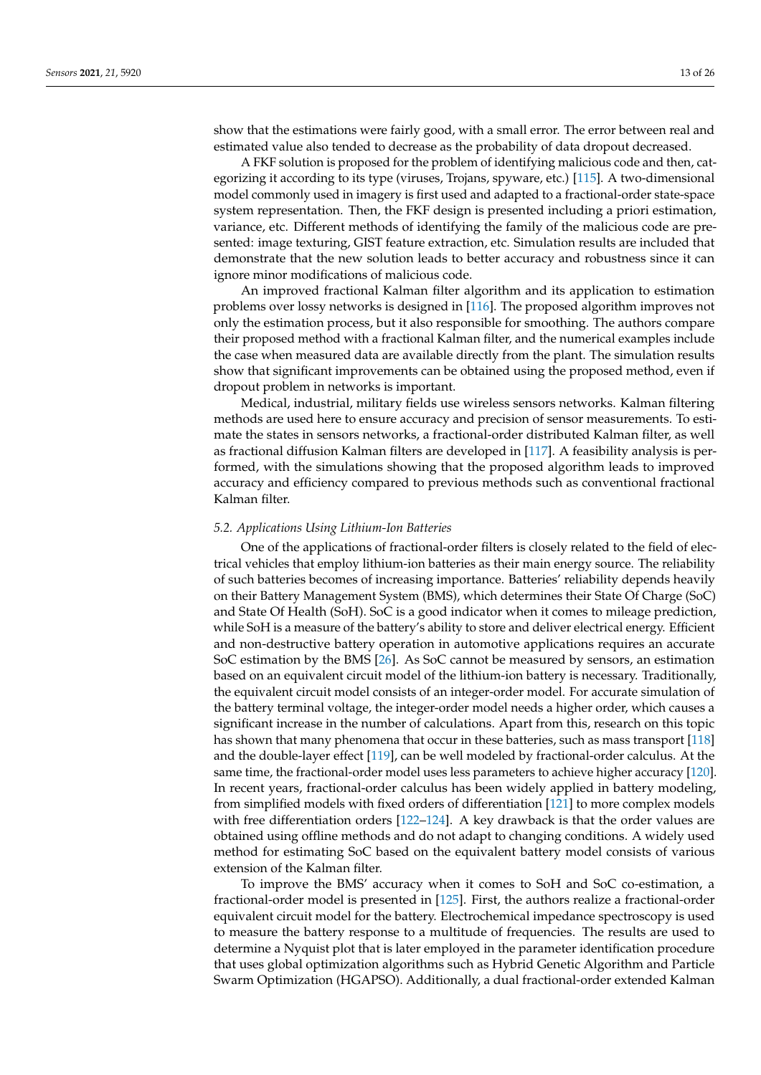show that the estimations were fairly good, with a small error. The error between real and estimated value also tended to decrease as the probability of data dropout decreased.

A FKF solution is proposed for the problem of identifying malicious code and then, categorizing it according to its type (viruses, Trojans, spyware, etc.) [\[115\]](#page-23-25). A two-dimensional model commonly used in imagery is first used and adapted to a fractional-order state-space system representation. Then, the FKF design is presented including a priori estimation, variance, etc. Different methods of identifying the family of the malicious code are presented: image texturing, GIST feature extraction, etc. Simulation results are included that demonstrate that the new solution leads to better accuracy and robustness since it can ignore minor modifications of malicious code.

An improved fractional Kalman filter algorithm and its application to estimation problems over lossy networks is designed in [\[116\]](#page-23-26). The proposed algorithm improves not only the estimation process, but it also responsible for smoothing. The authors compare their proposed method with a fractional Kalman filter, and the numerical examples include the case when measured data are available directly from the plant. The simulation results show that significant improvements can be obtained using the proposed method, even if dropout problem in networks is important.

Medical, industrial, military fields use wireless sensors networks. Kalman filtering methods are used here to ensure accuracy and precision of sensor measurements. To estimate the states in sensors networks, a fractional-order distributed Kalman filter, as well as fractional diffusion Kalman filters are developed in [\[117\]](#page-23-27). A feasibility analysis is performed, with the simulations showing that the proposed algorithm leads to improved accuracy and efficiency compared to previous methods such as conventional fractional Kalman filter.

#### *5.2. Applications Using Lithium-Ion Batteries*

One of the applications of fractional-order filters is closely related to the field of electrical vehicles that employ lithium-ion batteries as their main energy source. The reliability of such batteries becomes of increasing importance. Batteries' reliability depends heavily on their Battery Management System (BMS), which determines their State Of Charge (SoC) and State Of Health (SoH). SoC is a good indicator when it comes to mileage prediction, while SoH is a measure of the battery's ability to store and deliver electrical energy. Efficient and non-destructive battery operation in automotive applications requires an accurate SoC estimation by the BMS [\[26\]](#page-20-22). As SoC cannot be measured by sensors, an estimation based on an equivalent circuit model of the lithium-ion battery is necessary. Traditionally, the equivalent circuit model consists of an integer-order model. For accurate simulation of the battery terminal voltage, the integer-order model needs a higher order, which causes a significant increase in the number of calculations. Apart from this, research on this topic has shown that many phenomena that occur in these batteries, such as mass transport [\[118\]](#page-23-28) and the double-layer effect [\[119\]](#page-24-0), can be well modeled by fractional-order calculus. At the same time, the fractional-order model uses less parameters to achieve higher accuracy [\[120\]](#page-24-1). In recent years, fractional-order calculus has been widely applied in battery modeling, from simplified models with fixed orders of differentiation [\[121\]](#page-24-2) to more complex models with free differentiation orders  $[122-124]$  $[122-124]$ . A key drawback is that the order values are obtained using offline methods and do not adapt to changing conditions. A widely used method for estimating SoC based on the equivalent battery model consists of various extension of the Kalman filter.

To improve the BMS' accuracy when it comes to SoH and SoC co-estimation, a fractional-order model is presented in [\[125\]](#page-24-5). First, the authors realize a fractional-order equivalent circuit model for the battery. Electrochemical impedance spectroscopy is used to measure the battery response to a multitude of frequencies. The results are used to determine a Nyquist plot that is later employed in the parameter identification procedure that uses global optimization algorithms such as Hybrid Genetic Algorithm and Particle Swarm Optimization (HGAPSO). Additionally, a dual fractional-order extended Kalman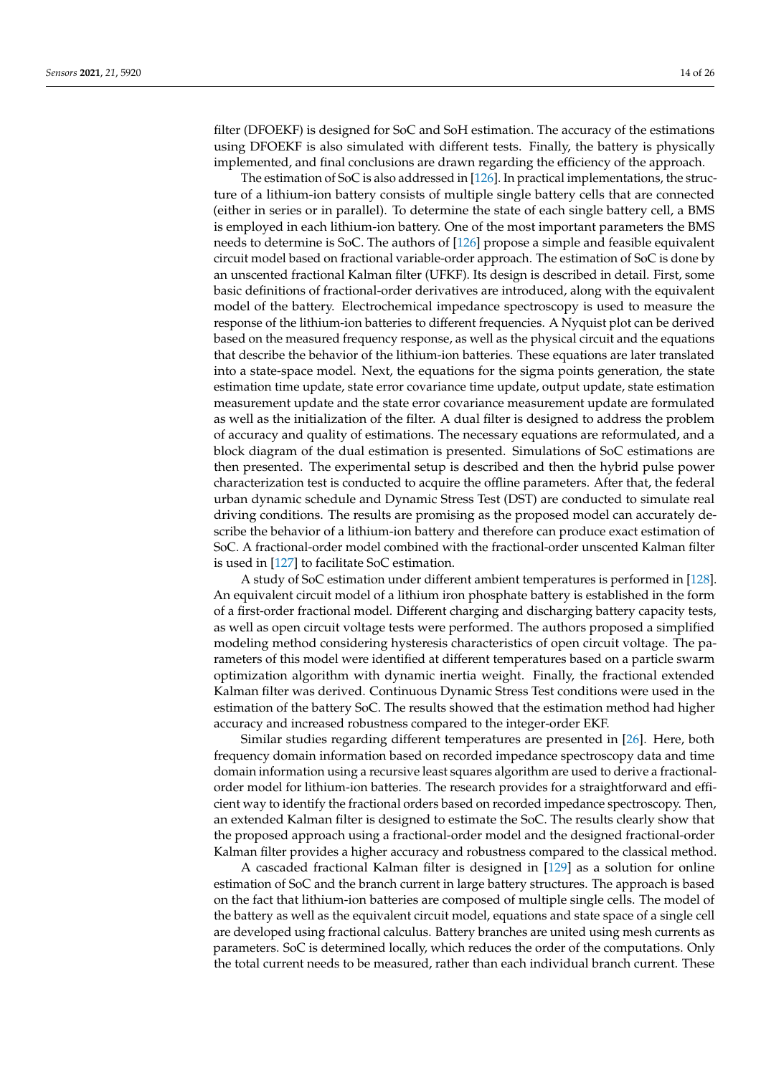filter (DFOEKF) is designed for SoC and SoH estimation. The accuracy of the estimations using DFOEKF is also simulated with different tests. Finally, the battery is physically implemented, and final conclusions are drawn regarding the efficiency of the approach.

The estimation of SoC is also addressed in [\[126\]](#page-24-6). In practical implementations, the structure of a lithium-ion battery consists of multiple single battery cells that are connected (either in series or in parallel). To determine the state of each single battery cell, a BMS is employed in each lithium-ion battery. One of the most important parameters the BMS needs to determine is SoC. The authors of [\[126\]](#page-24-6) propose a simple and feasible equivalent circuit model based on fractional variable-order approach. The estimation of SoC is done by an unscented fractional Kalman filter (UFKF). Its design is described in detail. First, some basic definitions of fractional-order derivatives are introduced, along with the equivalent model of the battery. Electrochemical impedance spectroscopy is used to measure the response of the lithium-ion batteries to different frequencies. A Nyquist plot can be derived based on the measured frequency response, as well as the physical circuit and the equations that describe the behavior of the lithium-ion batteries. These equations are later translated into a state-space model. Next, the equations for the sigma points generation, the state estimation time update, state error covariance time update, output update, state estimation measurement update and the state error covariance measurement update are formulated as well as the initialization of the filter. A dual filter is designed to address the problem of accuracy and quality of estimations. The necessary equations are reformulated, and a block diagram of the dual estimation is presented. Simulations of SoC estimations are then presented. The experimental setup is described and then the hybrid pulse power characterization test is conducted to acquire the offline parameters. After that, the federal urban dynamic schedule and Dynamic Stress Test (DST) are conducted to simulate real driving conditions. The results are promising as the proposed model can accurately describe the behavior of a lithium-ion battery and therefore can produce exact estimation of SoC. A fractional-order model combined with the fractional-order unscented Kalman filter is used in [\[127\]](#page-24-7) to facilitate SoC estimation.

A study of SoC estimation under different ambient temperatures is performed in [\[128\]](#page-24-8). An equivalent circuit model of a lithium iron phosphate battery is established in the form of a first-order fractional model. Different charging and discharging battery capacity tests, as well as open circuit voltage tests were performed. The authors proposed a simplified modeling method considering hysteresis characteristics of open circuit voltage. The parameters of this model were identified at different temperatures based on a particle swarm optimization algorithm with dynamic inertia weight. Finally, the fractional extended Kalman filter was derived. Continuous Dynamic Stress Test conditions were used in the estimation of the battery SoC. The results showed that the estimation method had higher accuracy and increased robustness compared to the integer-order EKF.

Similar studies regarding different temperatures are presented in [\[26\]](#page-20-22). Here, both frequency domain information based on recorded impedance spectroscopy data and time domain information using a recursive least squares algorithm are used to derive a fractionalorder model for lithium-ion batteries. The research provides for a straightforward and efficient way to identify the fractional orders based on recorded impedance spectroscopy. Then, an extended Kalman filter is designed to estimate the SoC. The results clearly show that the proposed approach using a fractional-order model and the designed fractional-order Kalman filter provides a higher accuracy and robustness compared to the classical method.

A cascaded fractional Kalman filter is designed in [\[129\]](#page-24-9) as a solution for online estimation of SoC and the branch current in large battery structures. The approach is based on the fact that lithium-ion batteries are composed of multiple single cells. The model of the battery as well as the equivalent circuit model, equations and state space of a single cell are developed using fractional calculus. Battery branches are united using mesh currents as parameters. SoC is determined locally, which reduces the order of the computations. Only the total current needs to be measured, rather than each individual branch current. These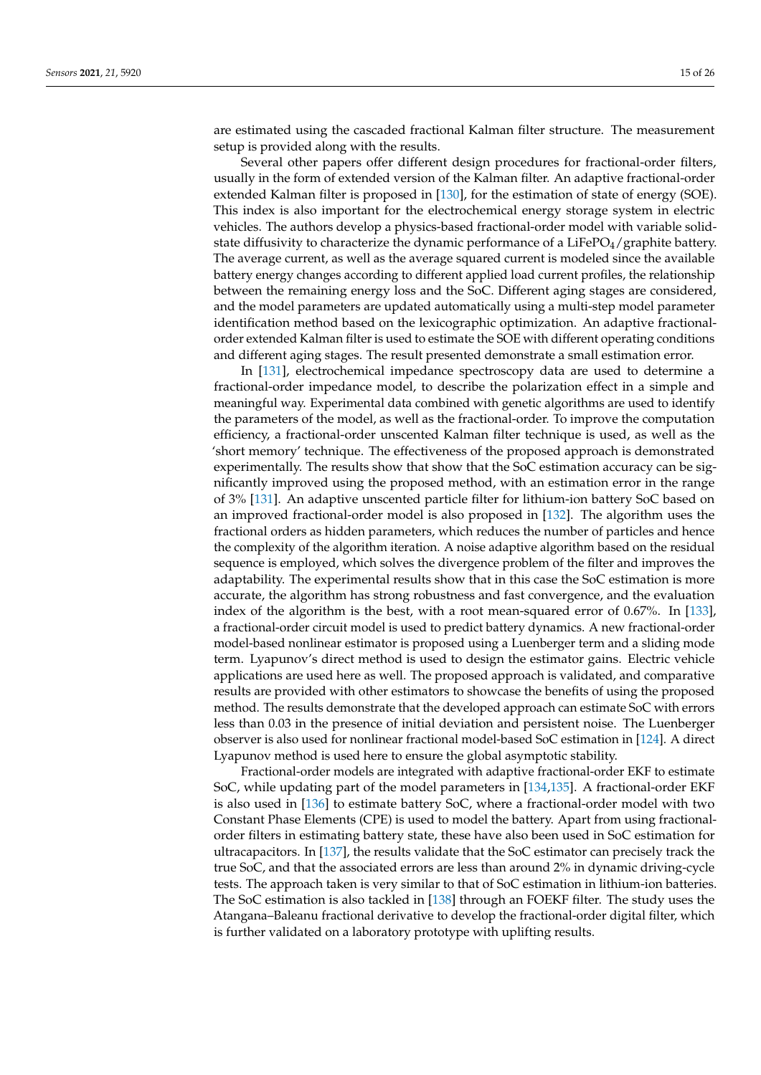are estimated using the cascaded fractional Kalman filter structure. The measurement setup is provided along with the results.

Several other papers offer different design procedures for fractional-order filters, usually in the form of extended version of the Kalman filter. An adaptive fractional-order extended Kalman filter is proposed in [\[130\]](#page-24-10), for the estimation of state of energy (SOE). This index is also important for the electrochemical energy storage system in electric vehicles. The authors develop a physics-based fractional-order model with variable solidstate diffusivity to characterize the dynamic performance of a LiFePO $_4$ /graphite battery. The average current, as well as the average squared current is modeled since the available battery energy changes according to different applied load current profiles, the relationship between the remaining energy loss and the SoC. Different aging stages are considered, and the model parameters are updated automatically using a multi-step model parameter identification method based on the lexicographic optimization. An adaptive fractionalorder extended Kalman filter is used to estimate the SOE with different operating conditions and different aging stages. The result presented demonstrate a small estimation error.

In [\[131\]](#page-24-11), electrochemical impedance spectroscopy data are used to determine a fractional-order impedance model, to describe the polarization effect in a simple and meaningful way. Experimental data combined with genetic algorithms are used to identify the parameters of the model, as well as the fractional-order. To improve the computation efficiency, a fractional-order unscented Kalman filter technique is used, as well as the 'short memory' technique. The effectiveness of the proposed approach is demonstrated experimentally. The results show that show that the SoC estimation accuracy can be significantly improved using the proposed method, with an estimation error in the range of 3% [\[131\]](#page-24-11). An adaptive unscented particle filter for lithium-ion battery SoC based on an improved fractional-order model is also proposed in [\[132\]](#page-24-12). The algorithm uses the fractional orders as hidden parameters, which reduces the number of particles and hence the complexity of the algorithm iteration. A noise adaptive algorithm based on the residual sequence is employed, which solves the divergence problem of the filter and improves the adaptability. The experimental results show that in this case the SoC estimation is more accurate, the algorithm has strong robustness and fast convergence, and the evaluation index of the algorithm is the best, with a root mean-squared error of 0.67%. In [\[133\]](#page-24-13), a fractional-order circuit model is used to predict battery dynamics. A new fractional-order model-based nonlinear estimator is proposed using a Luenberger term and a sliding mode term. Lyapunov's direct method is used to design the estimator gains. Electric vehicle applications are used here as well. The proposed approach is validated, and comparative results are provided with other estimators to showcase the benefits of using the proposed method. The results demonstrate that the developed approach can estimate SoC with errors less than 0.03 in the presence of initial deviation and persistent noise. The Luenberger observer is also used for nonlinear fractional model-based SoC estimation in [\[124\]](#page-24-4). A direct Lyapunov method is used here to ensure the global asymptotic stability.

Fractional-order models are integrated with adaptive fractional-order EKF to estimate SoC, while updating part of the model parameters in [\[134,](#page-24-14)[135\]](#page-24-15). A fractional-order EKF is also used in [\[136\]](#page-24-16) to estimate battery SoC, where a fractional-order model with two Constant Phase Elements (CPE) is used to model the battery. Apart from using fractionalorder filters in estimating battery state, these have also been used in SoC estimation for ultracapacitors. In [\[137\]](#page-24-17), the results validate that the SoC estimator can precisely track the true SoC, and that the associated errors are less than around 2% in dynamic driving-cycle tests. The approach taken is very similar to that of SoC estimation in lithium-ion batteries. The SoC estimation is also tackled in [\[138\]](#page-24-18) through an FOEKF filter. The study uses the Atangana–Baleanu fractional derivative to develop the fractional-order digital filter, which is further validated on a laboratory prototype with uplifting results.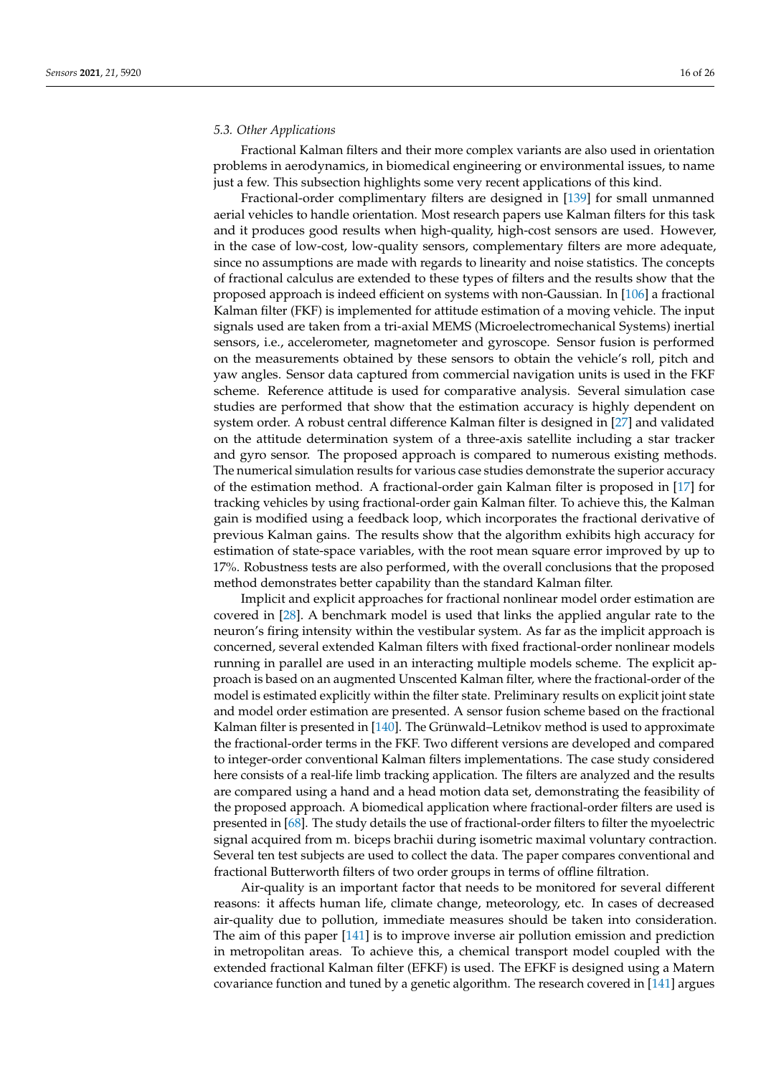#### *5.3. Other Applications*

Fractional Kalman filters and their more complex variants are also used in orientation problems in aerodynamics, in biomedical engineering or environmental issues, to name just a few. This subsection highlights some very recent applications of this kind.

Fractional-order complimentary filters are designed in [\[139\]](#page-24-19) for small unmanned aerial vehicles to handle orientation. Most research papers use Kalman filters for this task and it produces good results when high-quality, high-cost sensors are used. However, in the case of low-cost, low-quality sensors, complementary filters are more adequate, since no assumptions are made with regards to linearity and noise statistics. The concepts of fractional calculus are extended to these types of filters and the results show that the proposed approach is indeed efficient on systems with non-Gaussian. In [\[106\]](#page-23-16) a fractional Kalman filter (FKF) is implemented for attitude estimation of a moving vehicle. The input signals used are taken from a tri-axial MEMS (Microelectromechanical Systems) inertial sensors, i.e., accelerometer, magnetometer and gyroscope. Sensor fusion is performed on the measurements obtained by these sensors to obtain the vehicle's roll, pitch and yaw angles. Sensor data captured from commercial navigation units is used in the FKF scheme. Reference attitude is used for comparative analysis. Several simulation case studies are performed that show that the estimation accuracy is highly dependent on system order. A robust central difference Kalman filter is designed in [\[27\]](#page-20-23) and validated on the attitude determination system of a three-axis satellite including a star tracker and gyro sensor. The proposed approach is compared to numerous existing methods. The numerical simulation results for various case studies demonstrate the superior accuracy of the estimation method. A fractional-order gain Kalman filter is proposed in [\[17\]](#page-20-14) for tracking vehicles by using fractional-order gain Kalman filter. To achieve this, the Kalman gain is modified using a feedback loop, which incorporates the fractional derivative of previous Kalman gains. The results show that the algorithm exhibits high accuracy for estimation of state-space variables, with the root mean square error improved by up to 17%. Robustness tests are also performed, with the overall conclusions that the proposed method demonstrates better capability than the standard Kalman filter.

Implicit and explicit approaches for fractional nonlinear model order estimation are covered in [\[28\]](#page-20-24). A benchmark model is used that links the applied angular rate to the neuron's firing intensity within the vestibular system. As far as the implicit approach is concerned, several extended Kalman filters with fixed fractional-order nonlinear models running in parallel are used in an interacting multiple models scheme. The explicit approach is based on an augmented Unscented Kalman filter, where the fractional-order of the model is estimated explicitly within the filter state. Preliminary results on explicit joint state and model order estimation are presented. A sensor fusion scheme based on the fractional Kalman filter is presented in [\[140\]](#page-24-20). The Grünwald–Letnikov method is used to approximate the fractional-order terms in the FKF. Two different versions are developed and compared to integer-order conventional Kalman filters implementations. The case study considered here consists of a real-life limb tracking application. The filters are analyzed and the results are compared using a hand and a head motion data set, demonstrating the feasibility of the proposed approach. A biomedical application where fractional-order filters are used is presented in [\[68\]](#page-22-7). The study details the use of fractional-order filters to filter the myoelectric signal acquired from m. biceps brachii during isometric maximal voluntary contraction. Several ten test subjects are used to collect the data. The paper compares conventional and fractional Butterworth filters of two order groups in terms of offline filtration.

Air-quality is an important factor that needs to be monitored for several different reasons: it affects human life, climate change, meteorology, etc. In cases of decreased air-quality due to pollution, immediate measures should be taken into consideration. The aim of this paper [\[141\]](#page-24-21) is to improve inverse air pollution emission and prediction in metropolitan areas. To achieve this, a chemical transport model coupled with the extended fractional Kalman filter (EFKF) is used. The EFKF is designed using a Matern covariance function and tuned by a genetic algorithm. The research covered in [\[141\]](#page-24-21) argues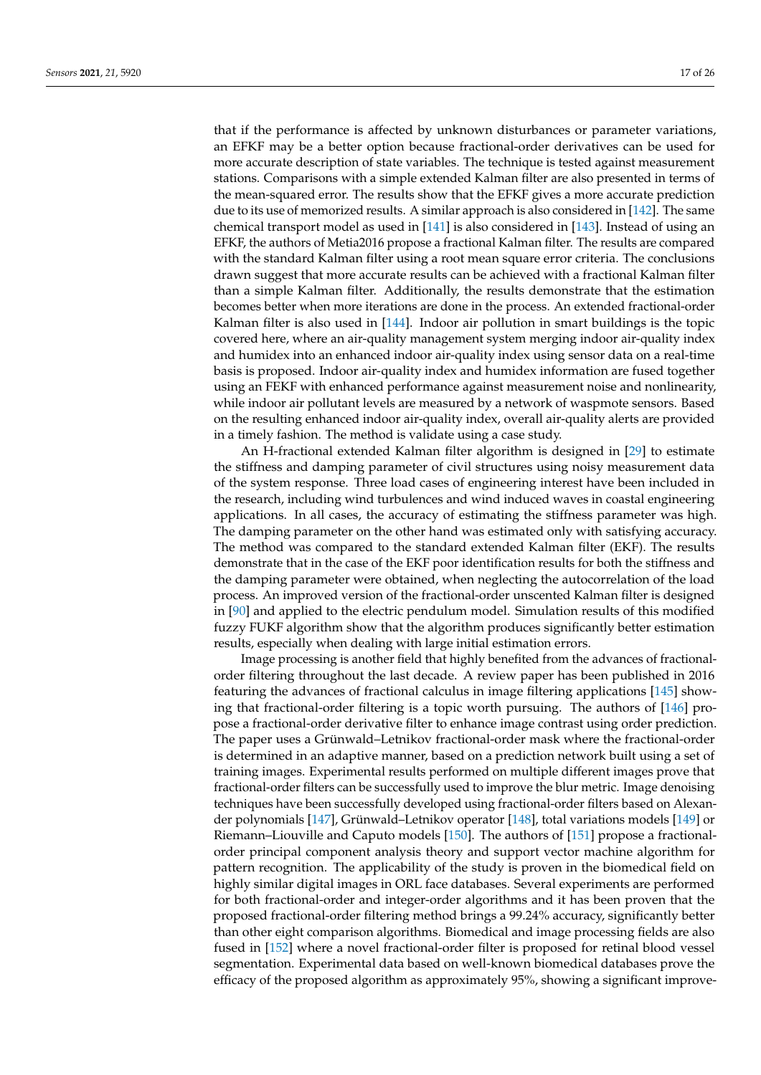that if the performance is affected by unknown disturbances or parameter variations, an EFKF may be a better option because fractional-order derivatives can be used for more accurate description of state variables. The technique is tested against measurement stations. Comparisons with a simple extended Kalman filter are also presented in terms of the mean-squared error. The results show that the EFKF gives a more accurate prediction due to its use of memorized results. A similar approach is also considered in [\[142\]](#page-24-22). The same chemical transport model as used in [\[141\]](#page-24-21) is also considered in [\[143\]](#page-24-23). Instead of using an EFKF, the authors of Metia2016 propose a fractional Kalman filter. The results are compared with the standard Kalman filter using a root mean square error criteria. The conclusions drawn suggest that more accurate results can be achieved with a fractional Kalman filter than a simple Kalman filter. Additionally, the results demonstrate that the estimation becomes better when more iterations are done in the process. An extended fractional-order Kalman filter is also used in [\[144\]](#page-24-24). Indoor air pollution in smart buildings is the topic covered here, where an air-quality management system merging indoor air-quality index and humidex into an enhanced indoor air-quality index using sensor data on a real-time basis is proposed. Indoor air-quality index and humidex information are fused together using an FEKF with enhanced performance against measurement noise and nonlinearity, while indoor air pollutant levels are measured by a network of waspmote sensors. Based on the resulting enhanced indoor air-quality index, overall air-quality alerts are provided in a timely fashion. The method is validate using a case study.

An H-fractional extended Kalman filter algorithm is designed in [\[29\]](#page-20-25) to estimate the stiffness and damping parameter of civil structures using noisy measurement data of the system response. Three load cases of engineering interest have been included in the research, including wind turbulences and wind induced waves in coastal engineering applications. In all cases, the accuracy of estimating the stiffness parameter was high. The damping parameter on the other hand was estimated only with satisfying accuracy. The method was compared to the standard extended Kalman filter (EKF). The results demonstrate that in the case of the EKF poor identification results for both the stiffness and the damping parameter were obtained, when neglecting the autocorrelation of the load process. An improved version of the fractional-order unscented Kalman filter is designed in [\[90\]](#page-23-0) and applied to the electric pendulum model. Simulation results of this modified fuzzy FUKF algorithm show that the algorithm produces significantly better estimation results, especially when dealing with large initial estimation errors.

Image processing is another field that highly benefited from the advances of fractionalorder filtering throughout the last decade. A review paper has been published in 2016 featuring the advances of fractional calculus in image filtering applications [\[145\]](#page-25-0) showing that fractional-order filtering is a topic worth pursuing. The authors of [\[146\]](#page-25-1) propose a fractional-order derivative filter to enhance image contrast using order prediction. The paper uses a Grünwald–Letnikov fractional-order mask where the fractional-order is determined in an adaptive manner, based on a prediction network built using a set of training images. Experimental results performed on multiple different images prove that fractional-order filters can be successfully used to improve the blur metric. Image denoising techniques have been successfully developed using fractional-order filters based on Alexander polynomials [\[147\]](#page-25-2), Grünwald–Letnikov operator [\[148\]](#page-25-3), total variations models [\[149\]](#page-25-4) or Riemann–Liouville and Caputo models [\[150\]](#page-25-5). The authors of [\[151\]](#page-25-6) propose a fractionalorder principal component analysis theory and support vector machine algorithm for pattern recognition. The applicability of the study is proven in the biomedical field on highly similar digital images in ORL face databases. Several experiments are performed for both fractional-order and integer-order algorithms and it has been proven that the proposed fractional-order filtering method brings a 99.24% accuracy, significantly better than other eight comparison algorithms. Biomedical and image processing fields are also fused in [\[152\]](#page-25-7) where a novel fractional-order filter is proposed for retinal blood vessel segmentation. Experimental data based on well-known biomedical databases prove the efficacy of the proposed algorithm as approximately 95%, showing a significant improve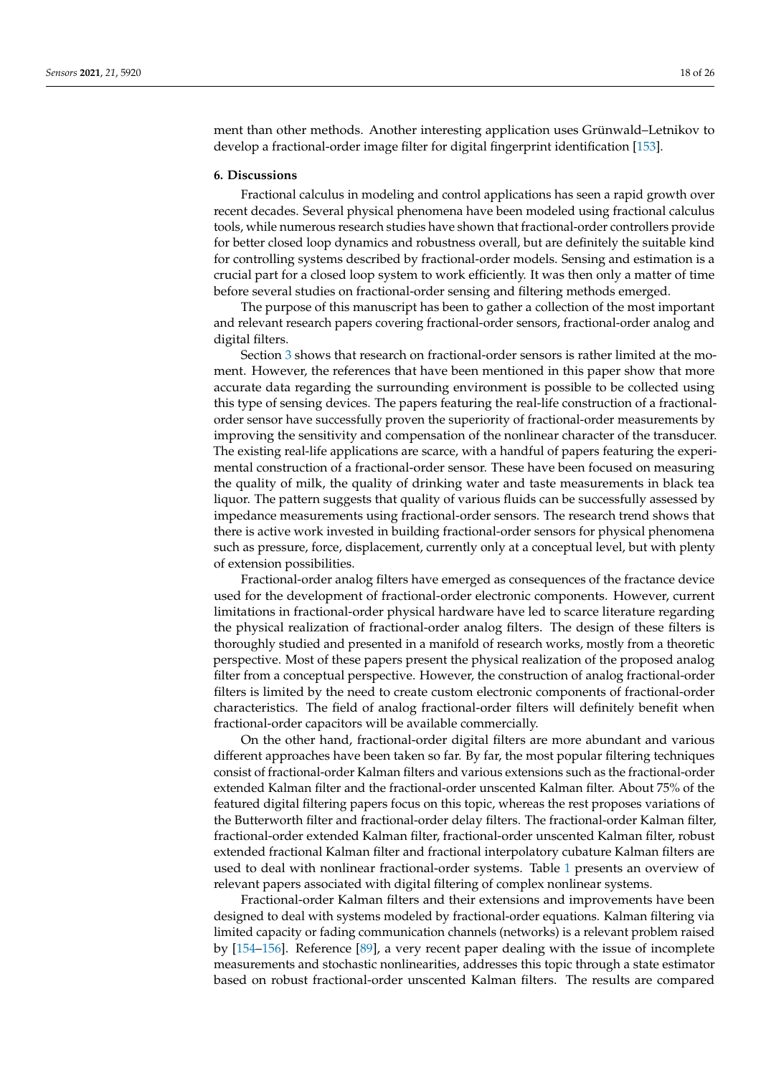ment than other methods. Another interesting application uses Grünwald–Letnikov to develop a fractional-order image filter for digital fingerprint identification [\[153\]](#page-25-8).

#### **6. Discussions**

Fractional calculus in modeling and control applications has seen a rapid growth over recent decades. Several physical phenomena have been modeled using fractional calculus tools, while numerous research studies have shown that fractional-order controllers provide for better closed loop dynamics and robustness overall, but are definitely the suitable kind for controlling systems described by fractional-order models. Sensing and estimation is a crucial part for a closed loop system to work efficiently. It was then only a matter of time before several studies on fractional-order sensing and filtering methods emerged.

The purpose of this manuscript has been to gather a collection of the most important and relevant research papers covering fractional-order sensors, fractional-order analog and digital filters.

Section [3](#page-4-0) shows that research on fractional-order sensors is rather limited at the moment. However, the references that have been mentioned in this paper show that more accurate data regarding the surrounding environment is possible to be collected using this type of sensing devices. The papers featuring the real-life construction of a fractionalorder sensor have successfully proven the superiority of fractional-order measurements by improving the sensitivity and compensation of the nonlinear character of the transducer. The existing real-life applications are scarce, with a handful of papers featuring the experimental construction of a fractional-order sensor. These have been focused on measuring the quality of milk, the quality of drinking water and taste measurements in black tea liquor. The pattern suggests that quality of various fluids can be successfully assessed by impedance measurements using fractional-order sensors. The research trend shows that there is active work invested in building fractional-order sensors for physical phenomena such as pressure, force, displacement, currently only at a conceptual level, but with plenty of extension possibilities.

Fractional-order analog filters have emerged as consequences of the fractance device used for the development of fractional-order electronic components. However, current limitations in fractional-order physical hardware have led to scarce literature regarding the physical realization of fractional-order analog filters. The design of these filters is thoroughly studied and presented in a manifold of research works, mostly from a theoretic perspective. Most of these papers present the physical realization of the proposed analog filter from a conceptual perspective. However, the construction of analog fractional-order filters is limited by the need to create custom electronic components of fractional-order characteristics. The field of analog fractional-order filters will definitely benefit when fractional-order capacitors will be available commercially.

On the other hand, fractional-order digital filters are more abundant and various different approaches have been taken so far. By far, the most popular filtering techniques consist of fractional-order Kalman filters and various extensions such as the fractional-order extended Kalman filter and the fractional-order unscented Kalman filter. About 75% of the featured digital filtering papers focus on this topic, whereas the rest proposes variations of the Butterworth filter and fractional-order delay filters. The fractional-order Kalman filter, fractional-order extended Kalman filter, fractional-order unscented Kalman filter, robust extended fractional Kalman filter and fractional interpolatory cubature Kalman filters are used to deal with nonlinear fractional-order systems. Table [1](#page-18-0) presents an overview of relevant papers associated with digital filtering of complex nonlinear systems.

Fractional-order Kalman filters and their extensions and improvements have been designed to deal with systems modeled by fractional-order equations. Kalman filtering via limited capacity or fading communication channels (networks) is a relevant problem raised by [\[154](#page-25-9)[–156\]](#page-25-10). Reference [\[89\]](#page-22-28), a very recent paper dealing with the issue of incomplete measurements and stochastic nonlinearities, addresses this topic through a state estimator based on robust fractional-order unscented Kalman filters. The results are compared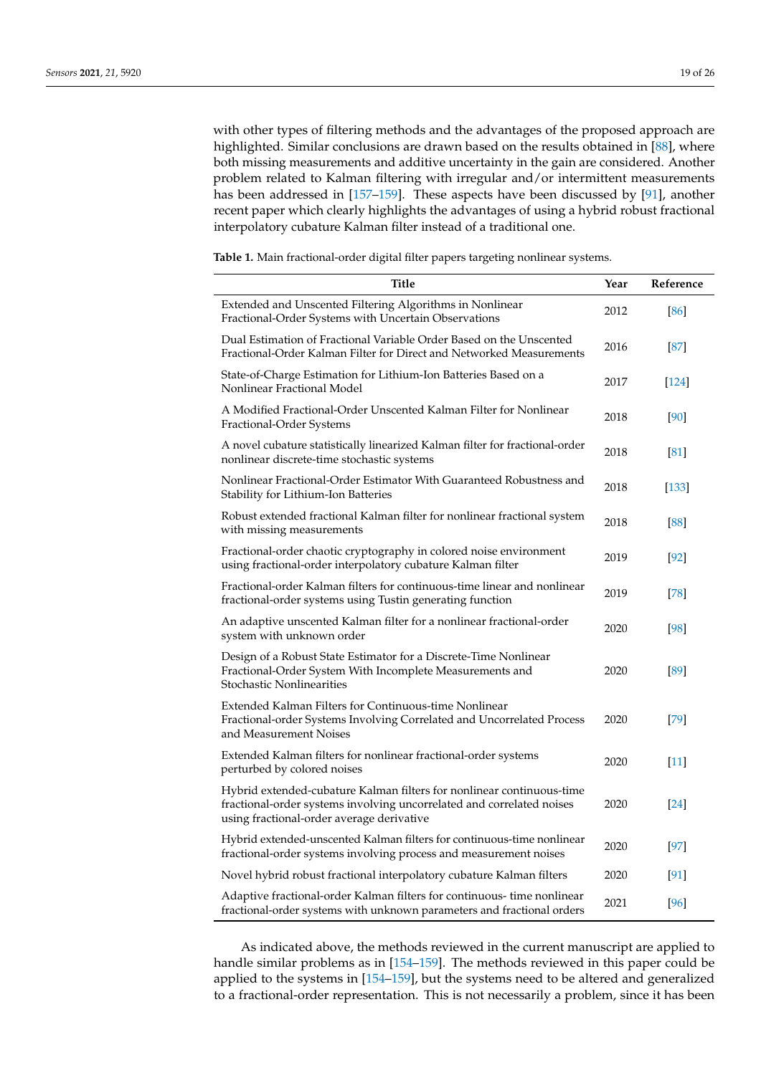with other types of filtering methods and the advantages of the proposed approach are highlighted. Similar conclusions are drawn based on the results obtained in [\[88\]](#page-22-27), where both missing measurements and additive uncertainty in the gain are considered. Another problem related to Kalman filtering with irregular and/or intermittent measurements has been addressed in [\[157](#page-25-11)[–159\]](#page-25-12). These aspects have been discussed by [\[91\]](#page-23-1), another recent paper which clearly highlights the advantages of using a hybrid robust fractional interpolatory cubature Kalman filter instead of a traditional one.

<span id="page-18-0"></span>**Table 1.** Main fractional-order digital filter papers targeting nonlinear systems.

| <b>Title</b>                                                                                                                                                                                | Year | Reference |
|---------------------------------------------------------------------------------------------------------------------------------------------------------------------------------------------|------|-----------|
| Extended and Unscented Filtering Algorithms in Nonlinear<br>Fractional-Order Systems with Uncertain Observations                                                                            | 2012 | [86]      |
| Dual Estimation of Fractional Variable Order Based on the Unscented<br>Fractional-Order Kalman Filter for Direct and Networked Measurements                                                 | 2016 | [87]      |
| State-of-Charge Estimation for Lithium-Ion Batteries Based on a<br>Nonlinear Fractional Model                                                                                               | 2017 | [124]     |
| A Modified Fractional-Order Unscented Kalman Filter for Nonlinear<br>Fractional-Order Systems                                                                                               | 2018 | [90]      |
| A novel cubature statistically linearized Kalman filter for fractional-order<br>nonlinear discrete-time stochastic systems                                                                  | 2018 | [81]      |
| Nonlinear Fractional-Order Estimator With Guaranteed Robustness and<br>Stability for Lithium-Ion Batteries                                                                                  | 2018 | $[133]$   |
| Robust extended fractional Kalman filter for nonlinear fractional system<br>with missing measurements                                                                                       | 2018 | [88]      |
| Fractional-order chaotic cryptography in colored noise environment<br>using fractional-order interpolatory cubature Kalman filter                                                           | 2019 | $[92]$    |
| Fractional-order Kalman filters for continuous-time linear and nonlinear<br>fractional-order systems using Tustin generating function                                                       | 2019 | [78]      |
| An adaptive unscented Kalman filter for a nonlinear fractional-order<br>system with unknown order                                                                                           | 2020 | [98]      |
| Design of a Robust State Estimator for a Discrete-Time Nonlinear<br>Fractional-Order System With Incomplete Measurements and<br>Stochastic Nonlinearities                                   | 2020 | [89]      |
| Extended Kalman Filters for Continuous-time Nonlinear<br>Fractional-order Systems Involving Correlated and Uncorrelated Process<br>and Measurement Noises                                   | 2020 | $[79]$    |
| Extended Kalman filters for nonlinear fractional-order systems<br>perturbed by colored noises                                                                                               | 2020 | [11]      |
| Hybrid extended-cubature Kalman filters for nonlinear continuous-time<br>fractional-order systems involving uncorrelated and correlated noises<br>using fractional-order average derivative | 2020 | [24]      |
| Hybrid extended-unscented Kalman filters for continuous-time nonlinear<br>fractional-order systems involving process and measurement noises                                                 | 2020 | $[97]$    |
| Novel hybrid robust fractional interpolatory cubature Kalman filters                                                                                                                        | 2020 | [91]      |
| Adaptive fractional-order Kalman filters for continuous- time nonlinear<br>fractional-order systems with unknown parameters and fractional orders                                           | 2021 | [96]      |

As indicated above, the methods reviewed in the current manuscript are applied to handle similar problems as in [\[154–](#page-25-9)[159\]](#page-25-12). The methods reviewed in this paper could be applied to the systems in [\[154](#page-25-9)[–159\]](#page-25-12), but the systems need to be altered and generalized to a fractional-order representation. This is not necessarily a problem, since it has been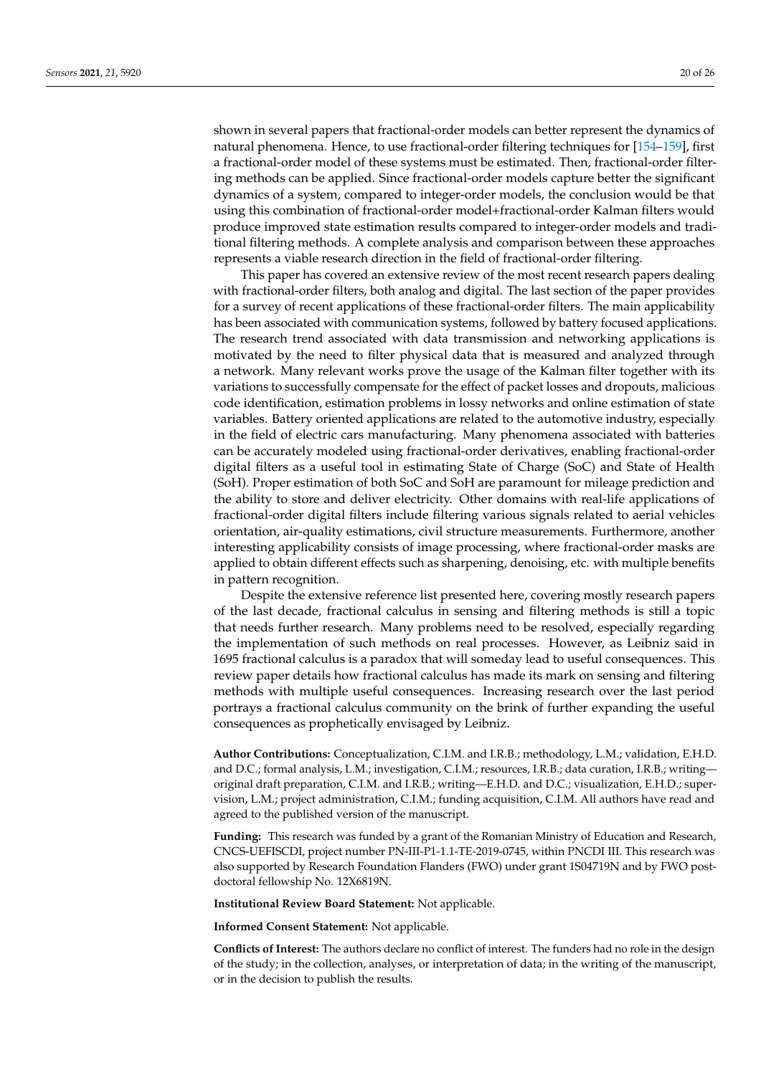shown in several papers that fractional-order models can better represent the dynamics of natural phenomena. Hence, to use fractional-order filtering techniques for [\[154–](#page-25-9)[159\]](#page-25-12), first a fractional-order model of these systems must be estimated. Then, fractional-order filtering methods can be applied. Since fractional-order models capture better the significant dynamics of a system, compared to integer-order models, the conclusion would be that using this combination of fractional-order model+fractional-order Kalman filters would produce improved state estimation results compared to integer-order models and traditional filtering methods. A complete analysis and comparison between these approaches represents a viable research direction in the field of fractional-order filtering.

This paper has covered an extensive review of the most recent research papers dealing with fractional-order filters, both analog and digital. The last section of the paper provides for a survey of recent applications of these fractional-order filters. The main applicability has been associated with communication systems, followed by battery focused applications. The research trend associated with data transmission and networking applications is motivated by the need to filter physical data that is measured and analyzed through a network. Many relevant works prove the usage of the Kalman filter together with its variations to successfully compensate for the effect of packet losses and dropouts, malicious code identification, estimation problems in lossy networks and online estimation of state variables. Battery oriented applications are related to the automotive industry, especially in the field of electric cars manufacturing. Many phenomena associated with batteries can be accurately modeled using fractional-order derivatives, enabling fractional-order digital filters as a useful tool in estimating State of Charge (SoC) and State of Health (SoH). Proper estimation of both SoC and SoH are paramount for mileage prediction and the ability to store and deliver electricity. Other domains with real-life applications of fractional-order digital filters include filtering various signals related to aerial vehicles orientation, air-quality estimations, civil structure measurements. Furthermore, another interesting applicability consists of image processing, where fractional-order masks are applied to obtain different effects such as sharpening, denoising, etc. with multiple benefits in pattern recognition.

Despite the extensive reference list presented here, covering mostly research papers of the last decade, fractional calculus in sensing and filtering methods is still a topic that needs further research. Many problems need to be resolved, especially regarding the implementation of such methods on real processes. However, as Leibniz said in 1695 fractional calculus is a paradox that will someday lead to useful consequences. This review paper details how fractional calculus has made its mark on sensing and filtering methods with multiple useful consequences. Increasing research over the last period portrays a fractional calculus community on the brink of further expanding the useful consequences as prophetically envisaged by Leibniz.

**Author Contributions:** Conceptualization, C.I.M. and I.R.B.; methodology, L.M.; validation, E.H.D. and D.C.; formal analysis, L.M.; investigation, C.I.M.; resources, I.R.B.; data curation, I.R.B.; writing original draft preparation, C.I.M. and I.R.B.; writing—E.H.D. and D.C.; visualization, E.H.D.; supervision, L.M.; project administration, C.I.M.; funding acquisition, C.I.M. All authors have read and agreed to the published version of the manuscript.

**Funding:** This research was funded by a grant of the Romanian Ministry of Education and Research, CNCS-UEFISCDI, project number PN-III-P1-1.1-TE-2019-0745, within PNCDI III. This research was also supported by Research Foundation Flanders (FWO) under grant 1S04719N and by FWO postdoctoral fellowship No. 12X6819N.

**Institutional Review Board Statement:** Not applicable.

**Informed Consent Statement:** Not applicable.

**Conflicts of Interest:** The authors declare no conflict of interest. The funders had no role in the design of the study; in the collection, analyses, or interpretation of data; in the writing of the manuscript, or in the decision to publish the results.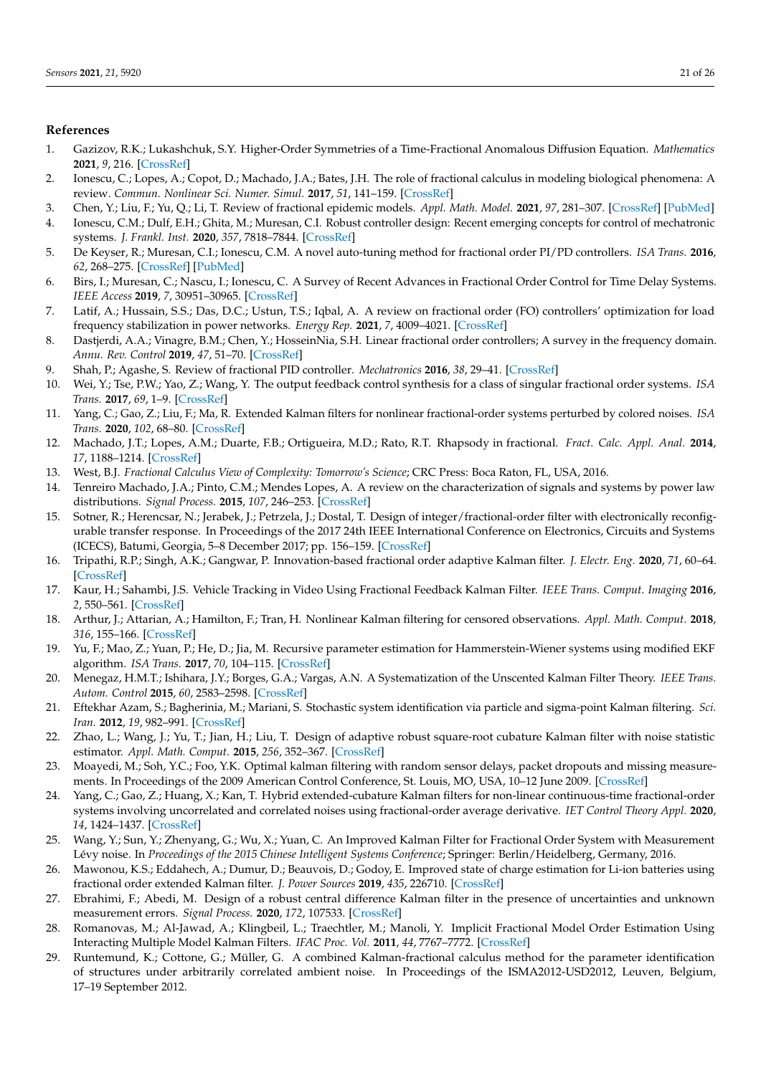### **References**

- <span id="page-20-0"></span>1. Gazizov, R.K.; Lukashchuk, S.Y. Higher-Order Symmetries of a Time-Fractional Anomalous Diffusion Equation. *Mathematics* **2021**, *9*, 216. [\[CrossRef\]](http://doi.org/10.3390/math9030216)
- <span id="page-20-1"></span>2. Ionescu, C.; Lopes, A.; Copot, D.; Machado, J.A.; Bates, J.H. The role of fractional calculus in modeling biological phenomena: A review. *Commun. Nonlinear Sci. Numer. Simul.* **2017**, *51*, 141–159. [\[CrossRef\]](http://dx.doi.org/10.1016/j.cnsns.2017.04.001)
- <span id="page-20-2"></span>3. Chen, Y.; Liu, F.; Yu, Q.; Li, T. Review of fractional epidemic models. *Appl. Math. Model.* **2021**, *97*, 281–307. [\[CrossRef\]](http://dx.doi.org/10.1016/j.apm.2021.03.044) [\[PubMed\]](http://www.ncbi.nlm.nih.gov/pubmed/33897091)
- <span id="page-20-3"></span>4. Ionescu, C.M.; Dulf, E.H.; Ghita, M.; Muresan, C.I. Robust controller design: Recent emerging concepts for control of mechatronic systems. *J. Frankl. Inst.* **2020**, *357*, 7818–7844. [\[CrossRef\]](http://dx.doi.org/10.1016/j.jfranklin.2020.05.046)
- <span id="page-20-4"></span>5. De Keyser, R.; Muresan, C.I.; Ionescu, C.M. A novel auto-tuning method for fractional order PI/PD controllers. *ISA Trans.* **2016**, *62*, 268–275. [\[CrossRef\]](http://dx.doi.org/10.1016/j.isatra.2016.01.021) [\[PubMed\]](http://www.ncbi.nlm.nih.gov/pubmed/26903289)
- <span id="page-20-5"></span>6. Birs, I.; Muresan, C.; Nascu, I.; Ionescu, C. A Survey of Recent Advances in Fractional Order Control for Time Delay Systems. *IEEE Access* **2019**, *7*, 30951–30965. [\[CrossRef\]](http://dx.doi.org/10.1109/ACCESS.2019.2902567)
- 7. Latif, A.; Hussain, S.S.; Das, D.C.; Ustun, T.S.; Iqbal, A. A review on fractional order (FO) controllers' optimization for load frequency stabilization in power networks. *Energy Rep.* **2021**, *7*, 4009–4021. [\[CrossRef\]](http://dx.doi.org/10.1016/j.egyr.2021.06.088)
- 8. Dastjerdi, A.A.; Vinagre, B.M.; Chen, Y.; HosseinNia, S.H. Linear fractional order controllers; A survey in the frequency domain. *Annu. Rev. Control* **2019**, *47*, 51–70. [\[CrossRef\]](http://dx.doi.org/10.1016/j.arcontrol.2019.03.008)
- <span id="page-20-6"></span>9. Shah, P.; Agashe, S. Review of fractional PID controller. *Mechatronics* **2016**, *38*, 29–41. [\[CrossRef\]](http://dx.doi.org/10.1016/j.mechatronics.2016.06.005)
- <span id="page-20-7"></span>10. Wei, Y.; Tse, P.W.; Yao, Z.; Wang, Y. The output feedback control synthesis for a class of singular fractional order systems. *ISA Trans.* **2017**, *69*, 1–9. [\[CrossRef\]](http://dx.doi.org/10.1016/j.isatra.2017.04.020)
- <span id="page-20-8"></span>11. Yang, C.; Gao, Z.; Liu, F.; Ma, R. Extended Kalman filters for nonlinear fractional-order systems perturbed by colored noises. *ISA Trans.* **2020**, *102*, 68–80. [\[CrossRef\]](http://dx.doi.org/10.1016/j.isatra.2019.07.010)
- <span id="page-20-9"></span>12. Machado, J.T.; Lopes, A.M.; Duarte, F.B.; Ortigueira, M.D.; Rato, R.T. Rhapsody in fractional. *Fract. Calc. Appl. Anal.* **2014**, *17*, 1188–1214. [\[CrossRef\]](http://dx.doi.org/10.2478/s13540-014-0206-0)
- <span id="page-20-10"></span>13. West, B.J. *Fractional Calculus View of Complexity: Tomorrow's Science*; CRC Press: Boca Raton, FL, USA, 2016.
- <span id="page-20-11"></span>14. Tenreiro Machado, J.A.; Pinto, C.M.; Mendes Lopes, A. A review on the characterization of signals and systems by power law distributions. *Signal Process.* **2015**, *107*, 246–253. [\[CrossRef\]](http://dx.doi.org/10.1016/j.sigpro.2014.03.003)
- <span id="page-20-12"></span>15. Sotner, R.; Herencsar, N.; Jerabek, J.; Petrzela, J.; Dostal, T. Design of integer/fractional-order filter with electronically reconfigurable transfer response. In Proceedings of the 2017 24th IEEE International Conference on Electronics, Circuits and Systems (ICECS), Batumi, Georgia, 5–8 December 2017; pp. 156–159. [\[CrossRef\]](http://dx.doi.org/10.1109/ICECS.2017.8292080)
- <span id="page-20-13"></span>16. Tripathi, R.P.; Singh, A.K.; Gangwar, P. Innovation-based fractional order adaptive Kalman filter. *J. Electr. Eng.* **2020**, *71*, 60–64. [\[CrossRef\]](http://dx.doi.org/10.2478/jee-2020-0009)
- <span id="page-20-14"></span>17. Kaur, H.; Sahambi, J.S. Vehicle Tracking in Video Using Fractional Feedback Kalman Filter. *IEEE Trans. Comput. Imaging* **2016**, *2*, 550–561. [\[CrossRef\]](http://dx.doi.org/10.1109/TCI.2016.2600480)
- <span id="page-20-15"></span>18. Arthur, J.; Attarian, A.; Hamilton, F.; Tran, H. Nonlinear Kalman filtering for censored observations. *Appl. Math. Comput.* **2018**, *316*, 155–166. [\[CrossRef\]](http://dx.doi.org/10.1016/j.amc.2017.08.002)
- <span id="page-20-16"></span>19. Yu, F.; Mao, Z.; Yuan, P.; He, D.; Jia, M. Recursive parameter estimation for Hammerstein-Wiener systems using modified EKF algorithm. *ISA Trans.* **2017**, *70*, 104–115. [\[CrossRef\]](http://dx.doi.org/10.1016/j.isatra.2017.05.012)
- <span id="page-20-17"></span>20. Menegaz, H.M.T.; Ishihara, J.Y.; Borges, G.A.; Vargas, A.N. A Systematization of the Unscented Kalman Filter Theory. *IEEE Trans. Autom. Control* **2015**, *60*, 2583–2598. [\[CrossRef\]](http://dx.doi.org/10.1109/TAC.2015.2404511)
- <span id="page-20-18"></span>21. Eftekhar Azam, S.; Bagherinia, M.; Mariani, S. Stochastic system identification via particle and sigma-point Kalman filtering. *Sci. Iran.* **2012**, *19*, 982–991. [\[CrossRef\]](http://dx.doi.org/10.1016/j.scient.2012.06.007)
- <span id="page-20-19"></span>22. Zhao, L.; Wang, J.; Yu, T.; Jian, H.; Liu, T. Design of adaptive robust square-root cubature Kalman filter with noise statistic estimator. *Appl. Math. Comput.* **2015**, *256*, 352–367. [\[CrossRef\]](http://dx.doi.org/10.1016/j.amc.2014.12.036)
- <span id="page-20-20"></span>23. Moayedi, M.; Soh, Y.C.; Foo, Y.K. Optimal kalman filtering with random sensor delays, packet dropouts and missing measurements. In Proceedings of the 2009 American Control Conference, St. Louis, MO, USA, 10–12 June 2009. [\[CrossRef\]](http://dx.doi.org/10.1109/ACC.2009.5160216)
- <span id="page-20-26"></span>24. Yang, C.; Gao, Z.; Huang, X.; Kan, T. Hybrid extended-cubature Kalman filters for non-linear continuous-time fractional-order systems involving uncorrelated and correlated noises using fractional-order average derivative. *IET Control Theory Appl.* **2020**, *14*, 1424–1437. [\[CrossRef\]](http://dx.doi.org/10.1049/iet-cta.2019.1121)
- <span id="page-20-21"></span>25. Wang, Y.; Sun, Y.; Zhenyang, G.; Wu, X.; Yuan, C. An Improved Kalman Filter for Fractional Order System with Measurement Lévy noise. In *Proceedings of the 2015 Chinese Intelligent Systems Conference*; Springer: Berlin/Heidelberg, Germany, 2016.
- <span id="page-20-22"></span>26. Mawonou, K.S.; Eddahech, A.; Dumur, D.; Beauvois, D.; Godoy, E. Improved state of charge estimation for Li-ion batteries using fractional order extended Kalman filter. *J. Power Sources* **2019**, *435*, 226710. [\[CrossRef\]](http://dx.doi.org/10.1016/j.jpowsour.2019.226710)
- <span id="page-20-23"></span>27. Ebrahimi, F.; Abedi, M. Design of a robust central difference Kalman filter in the presence of uncertainties and unknown measurement errors. *Signal Process.* **2020**, *172*, 107533. [\[CrossRef\]](http://dx.doi.org/10.1016/j.sigpro.2020.107533)
- <span id="page-20-24"></span>28. Romanovas, M.; Al-Jawad, A.; Klingbeil, L.; Traechtler, M.; Manoli, Y. Implicit Fractional Model Order Estimation Using Interacting Multiple Model Kalman Filters. *IFAC Proc. Vol.* **2011**, *44*, 7767–7772. [\[CrossRef\]](http://dx.doi.org/10.3182/20110828-6-IT-1002.02918)
- <span id="page-20-25"></span>29. Runtemund, K.; Cottone, G.; Müller, G. A combined Kalman-fractional calculus method for the parameter identification of structures under arbitrarily correlated ambient noise. In Proceedings of the ISMA2012-USD2012, Leuven, Belgium, 17–19 September 2012.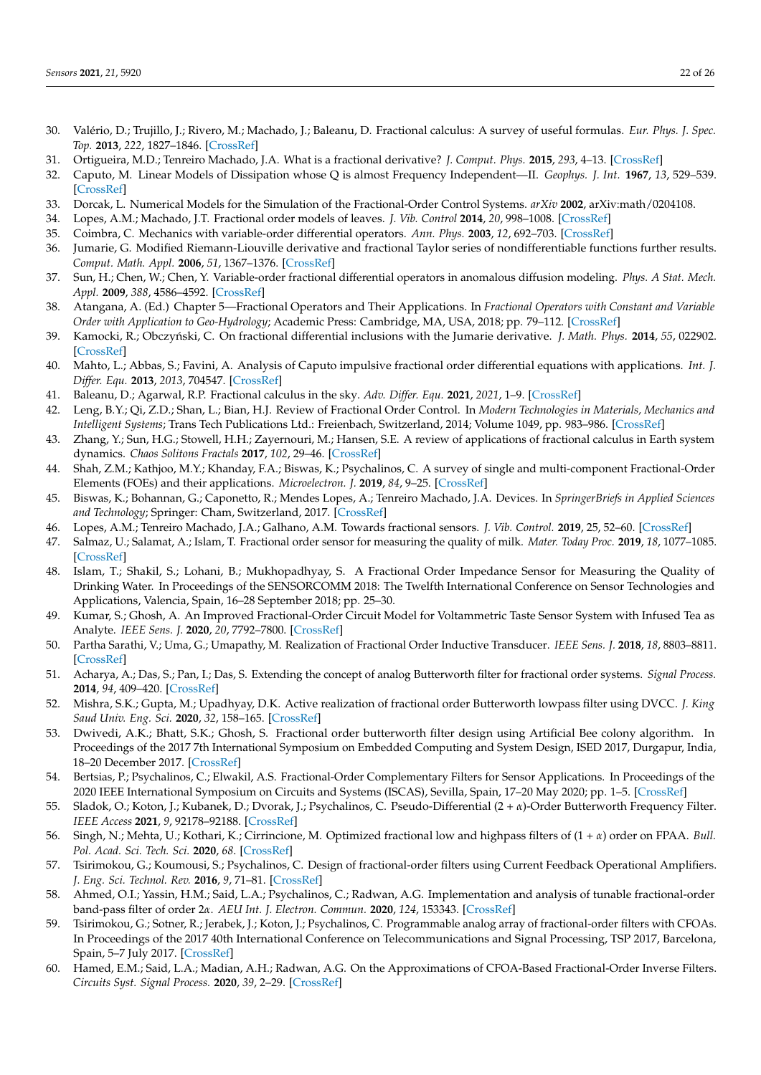- <span id="page-21-0"></span>30. Valério, D.; Trujillo, J.; Rivero, M.; Machado, J.; Baleanu, D. Fractional calculus: A survey of useful formulas. *Eur. Phys. J. Spec. Top.* **2013**, *222*, 1827–1846. [\[CrossRef\]](http://dx.doi.org/10.1140/epjst/e2013-01967-y)
- <span id="page-21-1"></span>31. Ortigueira, M.D.; Tenreiro Machado, J.A. What is a fractional derivative? *J. Comput. Phys.* **2015**, *293*, 4–13. [\[CrossRef\]](http://dx.doi.org/10.1016/j.jcp.2014.07.019)
- <span id="page-21-2"></span>32. Caputo, M. Linear Models of Dissipation whose Q is almost Frequency Independent—II. *Geophys. J. Int.* **1967**, *13*, 529–539. [\[CrossRef\]](http://dx.doi.org/10.1111/j.1365-246X.1967.tb02303.x)
- <span id="page-21-3"></span>33. Dorcak, L. Numerical Models for the Simulation of the Fractional-Order Control Systems. *arXiv* **2002**, arXiv:math/0204108.
- <span id="page-21-4"></span>34. Lopes, A.M.; Machado, J.T. Fractional order models of leaves. *J. Vib. Control* **2014**, *20*, 998–1008. [\[CrossRef\]](http://dx.doi.org/10.1177/1077546312473323)
- <span id="page-21-5"></span>35. Coimbra, C. Mechanics with variable-order differential operators. *Ann. Phys.* **2003**, *12*, 692–703. [\[CrossRef\]](http://dx.doi.org/10.1002/andp.200310032)
- <span id="page-21-6"></span>36. Jumarie, G. Modified Riemann-Liouville derivative and fractional Taylor series of nondifferentiable functions further results. *Comput. Math. Appl.* **2006**, *51*, 1367–1376. [\[CrossRef\]](http://dx.doi.org/10.1016/j.camwa.2006.02.001)
- <span id="page-21-7"></span>37. Sun, H.; Chen, W.; Chen, Y. Variable-order fractional differential operators in anomalous diffusion modeling. *Phys. A Stat. Mech. Appl.* **2009**, *388*, 4586–4592. [\[CrossRef\]](http://dx.doi.org/10.1016/j.physa.2009.07.024)
- <span id="page-21-8"></span>38. Atangana, A. (Ed.) Chapter 5—Fractional Operators and Their Applications. In *Fractional Operators with Constant and Variable Order with Application to Geo-Hydrology*; Academic Press: Cambridge, MA, USA, 2018; pp. 79–112. [\[CrossRef\]](http://dx.doi.org/10.1016/B978-0-12-809670-3.00005-9)
- <span id="page-21-9"></span>39. Kamocki, R.; Obczy ´nski, C. On fractional differential inclusions with the Jumarie derivative. *J. Math. Phys.* **2014**, *55*, 022902. [\[CrossRef\]](http://dx.doi.org/10.1063/1.4865997)
- <span id="page-21-10"></span>40. Mahto, L.; Abbas, S.; Favini, A. Analysis of Caputo impulsive fractional order differential equations with applications. *Int. J. Differ. Equ.* **2013**, *2013*, 704547. [\[CrossRef\]](http://dx.doi.org/10.1155/2013/704547)
- <span id="page-21-11"></span>41. Baleanu, D.; Agarwal, R.P. Fractional calculus in the sky. *Adv. Differ. Equ.* **2021**, *2021*, 1–9. [\[CrossRef\]](http://dx.doi.org/10.1186/s13662-021-03270-7)
- <span id="page-21-12"></span>42. Leng, B.Y.; Qi, Z.D.; Shan, L.; Bian, H.J. Review of Fractional Order Control. In *Modern Technologies in Materials, Mechanics and Intelligent Systems*; Trans Tech Publications Ltd.: Freienbach, Switzerland, 2014; Volume 1049, pp. 983–986. [\[CrossRef\]](http://dx.doi.org/10.4028/www.scientific.net/AMR.1049-1050.983)
- <span id="page-21-13"></span>43. Zhang, Y.; Sun, H.G.; Stowell, H.H.; Zayernouri, M.; Hansen, S.E. A review of applications of fractional calculus in Earth system dynamics. *Chaos Solitons Fractals* **2017**, *102*, 29–46. [\[CrossRef\]](http://dx.doi.org/10.1016/j.chaos.2017.03.051)
- <span id="page-21-14"></span>44. Shah, Z.M.; Kathjoo, M.Y.; Khanday, F.A.; Biswas, K.; Psychalinos, C. A survey of single and multi-component Fractional-Order Elements (FOEs) and their applications. *Microelectron. J.* **2019**, *84*, 9–25. [\[CrossRef\]](http://dx.doi.org/10.1016/j.mejo.2018.12.010)
- <span id="page-21-15"></span>45. Biswas, K.; Bohannan, G.; Caponetto, R.; Mendes Lopes, A.; Tenreiro Machado, J.A. Devices. In *SpringerBriefs in Applied Sciences and Technology*; Springer: Cham, Switzerland, 2017. [\[CrossRef\]](http://dx.doi.org/10.1007/978-3-319-54460-1_2)
- <span id="page-21-16"></span>46. Lopes, A.M.; Tenreiro Machado, J.A.; Galhano, A.M. Towards fractional sensors. *J. Vib. Control.* **2019**, 25, 52–60. [\[CrossRef\]](http://dx.doi.org/10.1177/1077546318769163)
- <span id="page-21-17"></span>47. Salmaz, U.; Salamat, A.; Islam, T. Fractional order sensor for measuring the quality of milk. *Mater. Today Proc.* **2019**, *18*, 1077–1085. [\[CrossRef\]](http://dx.doi.org/10.1016/j.matpr.2019.06.567)
- <span id="page-21-18"></span>48. Islam, T.; Shakil, S.; Lohani, B.; Mukhopadhyay, S. A Fractional Order Impedance Sensor for Measuring the Quality of Drinking Water. In Proceedings of the SENSORCOMM 2018: The Twelfth International Conference on Sensor Technologies and Applications, Valencia, Spain, 16–28 September 2018; pp. 25–30.
- <span id="page-21-19"></span>49. Kumar, S.; Ghosh, A. An Improved Fractional-Order Circuit Model for Voltammetric Taste Sensor System with Infused Tea as Analyte. *IEEE Sens. J.* **2020**, *20*, 7792–7800. [\[CrossRef\]](http://dx.doi.org/10.1109/JSEN.2020.2979994)
- <span id="page-21-20"></span>50. Partha Sarathi, V.; Uma, G.; Umapathy, M. Realization of Fractional Order Inductive Transducer. *IEEE Sens. J.* **2018**, *18*, 8803–8811. [\[CrossRef\]](http://dx.doi.org/10.1109/JSEN.2018.2868386)
- <span id="page-21-21"></span>51. Acharya, A.; Das, S.; Pan, I.; Das, S. Extending the concept of analog Butterworth filter for fractional order systems. *Signal Process.* **2014**, *94*, 409–420. [\[CrossRef\]](http://dx.doi.org/10.1016/j.sigpro.2013.07.012)
- <span id="page-21-22"></span>52. Mishra, S.K.; Gupta, M.; Upadhyay, D.K. Active realization of fractional order Butterworth lowpass filter using DVCC. *J. King Saud Univ. Eng. Sci.* **2020**, *32*, 158–165. [\[CrossRef\]](http://dx.doi.org/10.1016/j.jksues.2018.11.005)
- <span id="page-21-23"></span>53. Dwivedi, A.K.; Bhatt, S.K.; Ghosh, S. Fractional order butterworth filter design using Artificial Bee colony algorithm. In Proceedings of the 2017 7th International Symposium on Embedded Computing and System Design, ISED 2017, Durgapur, India, 18–20 December 2017. [\[CrossRef\]](http://dx.doi.org/10.1109/ISED.2017.8303938)
- <span id="page-21-24"></span>54. Bertsias, P.; Psychalinos, C.; Elwakil, A.S. Fractional-Order Complementary Filters for Sensor Applications. In Proceedings of the 2020 IEEE International Symposium on Circuits and Systems (ISCAS), Sevilla, Spain, 17–20 May 2020; pp. 1–5. [\[CrossRef\]](http://dx.doi.org/10.1109/ISCAS45731.2020.9180745)
- <span id="page-21-25"></span>55. Sladok, O.; Koton, J.; Kubanek, D.; Dvorak, J.; Psychalinos, C. Pseudo-Differential (2 + *α*)-Order Butterworth Frequency Filter. *IEEE Access* **2021**, *9*, 92178–92188. [\[CrossRef\]](http://dx.doi.org/10.1109/ACCESS.2021.3091544)
- <span id="page-21-26"></span>56. Singh, N.; Mehta, U.; Kothari, K.; Cirrincione, M. Optimized fractional low and highpass filters of (1 + *α*) order on FPAA. *Bull. Pol. Acad. Sci. Tech. Sci.* **2020**, *68*. [\[CrossRef\]](http://dx.doi.org/10.24425/bpasts.2020.133123)
- <span id="page-21-27"></span>57. Tsirimokou, G.; Koumousi, S.; Psychalinos, C. Design of fractional-order filters using Current Feedback Operational Amplifiers. *J. Eng. Sci. Technol. Rev.* **2016**, *9*, 71–81. [\[CrossRef\]](http://dx.doi.org/10.25103/jestr.094.12)
- <span id="page-21-28"></span>58. Ahmed, O.I.; Yassin, H.M.; Said, L.A.; Psychalinos, C.; Radwan, A.G. Implementation and analysis of tunable fractional-order band-pass filter of order 2*α*. *AEU Int. J. Electron. Commun.* **2020**, *124*, 153343. [\[CrossRef\]](http://dx.doi.org/10.1016/j.aeue.2020.153343)
- <span id="page-21-29"></span>59. Tsirimokou, G.; Sotner, R.; Jerabek, J.; Koton, J.; Psychalinos, C. Programmable analog array of fractional-order filters with CFOAs. In Proceedings of the 2017 40th International Conference on Telecommunications and Signal Processing, TSP 2017, Barcelona, Spain, 5–7 July 2017. [\[CrossRef\]](http://dx.doi.org/10.1109/TSP.2017.8076079)
- <span id="page-21-30"></span>60. Hamed, E.M.; Said, L.A.; Madian, A.H.; Radwan, A.G. On the Approximations of CFOA-Based Fractional-Order Inverse Filters. *Circuits Syst. Signal Process.* **2020**, *39*, 2–29. [\[CrossRef\]](http://dx.doi.org/10.1007/s00034-019-01155-5)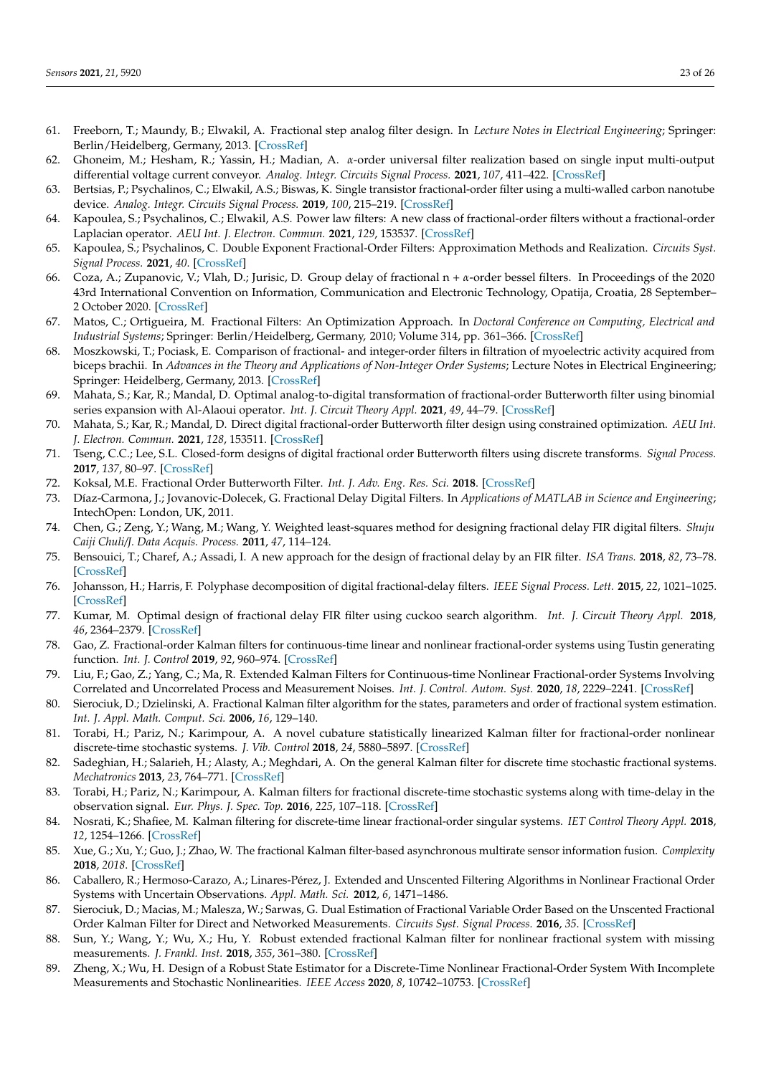- <span id="page-22-0"></span>61. Freeborn, T.; Maundy, B.; Elwakil, A. Fractional step analog filter design. In *Lecture Notes in Electrical Engineering*; Springer: Berlin/Heidelberg, Germany, 2013. [\[CrossRef\]](http://dx.doi.org/10.1007/978-3-642-36329-0_11)
- <span id="page-22-1"></span>62. Ghoneim, M.; Hesham, R.; Yassin, H.; Madian, A. *α*-order universal filter realization based on single input multi-output differential voltage current conveyor. *Analog. Integr. Circuits Signal Process.* **2021**, *107*, 411–422. [\[CrossRef\]](http://dx.doi.org/10.1007/s10470-020-01753-3)
- <span id="page-22-2"></span>63. Bertsias, P.; Psychalinos, C.; Elwakil, A.S.; Biswas, K. Single transistor fractional-order filter using a multi-walled carbon nanotube device. *Analog. Integr. Circuits Signal Process.* **2019**, *100*, 215–219. [\[CrossRef\]](http://dx.doi.org/10.1007/s10470-019-01463-5)
- <span id="page-22-3"></span>64. Kapoulea, S.; Psychalinos, C.; Elwakil, A.S. Power law filters: A new class of fractional-order filters without a fractional-order Laplacian operator. *AEU Int. J. Electron. Commun.* **2021**, *129*, 153537. [\[CrossRef\]](http://dx.doi.org/10.1016/j.aeue.2020.153537)
- <span id="page-22-4"></span>65. Kapoulea, S.; Psychalinos, C. Double Exponent Fractional-Order Filters: Approximation Methods and Realization. *Circuits Syst. Signal Process.* **2021**, *40*. [\[CrossRef\]](http://dx.doi.org/10.1007/s00034-020-01514-7)
- <span id="page-22-5"></span>66. Coza, A.; Zupanovic, V.; Vlah, D.; Jurisic, D. Group delay of fractional n + *α*-order bessel filters. In Proceedings of the 2020 43rd International Convention on Information, Communication and Electronic Technology, Opatija, Croatia, 28 September– 2 October 2020. [\[CrossRef\]](http://dx.doi.org/10.23919/MIPRO48935.2020.9245190)
- <span id="page-22-6"></span>67. Matos, C.; Ortigueira, M. Fractional Filters: An Optimization Approach. In *Doctoral Conference on Computing, Electrical and Industrial Systems*; Springer: Berlin/Heidelberg, Germany, 2010; Volume 314, pp. 361–366. [\[CrossRef\]](http://dx.doi.org/10.1007/978-3-642-11628-5_39)
- <span id="page-22-7"></span>68. Moszkowski, T.; Pociask, E. Comparison of fractional- and integer-order filters in filtration of myoelectric activity acquired from biceps brachii. In *Advances in the Theory and Applications of Non-Integer Order Systems*; Lecture Notes in Electrical Engineering; Springer: Heidelberg, Germany, 2013. [\[CrossRef\]](http://dx.doi.org/10.1007/978-3-319-00933-9_28)
- <span id="page-22-9"></span>69. Mahata, S.; Kar, R.; Mandal, D. Optimal analog-to-digital transformation of fractional-order Butterworth filter using binomial series expansion with Al-Alaoui operator. *Int. J. Circuit Theory Appl.* **2021**, *49*, 44–79. [\[CrossRef\]](http://dx.doi.org/10.1002/cta.2908)
- <span id="page-22-10"></span>70. Mahata, S.; Kar, R.; Mandal, D. Direct digital fractional-order Butterworth filter design using constrained optimization. *AEU Int. J. Electron. Commun.* **2021**, *128*, 153511. [\[CrossRef\]](http://dx.doi.org/10.1016/j.aeue.2020.153511)
- <span id="page-22-11"></span>71. Tseng, C.C.; Lee, S.L. Closed-form designs of digital fractional order Butterworth filters using discrete transforms. *Signal Process.* **2017**, *137*, 80–97. [\[CrossRef\]](http://dx.doi.org/10.1016/j.sigpro.2017.01.015)
- <span id="page-22-8"></span>72. Koksal, M.E. Fractional Order Butterworth Filter. *Int. J. Adv. Eng. Res. Sci.* **2018**. [\[CrossRef\]](http://dx.doi.org/10.22161/ijaers.5.12.25)
- <span id="page-22-12"></span>73. Díaz-Carmona, J.; Jovanovic-Dolecek, G. Fractional Delay Digital Filters. In *Applications of MATLAB in Science and Engineering*; IntechOpen: London, UK, 2011.
- <span id="page-22-13"></span>74. Chen, G.; Zeng, Y.; Wang, M.; Wang, Y. Weighted least-squares method for designing fractional delay FIR digital filters. *Shuju Caiji Chuli/J. Data Acquis. Process.* **2011**, *47*, 114–124.
- <span id="page-22-14"></span>75. Bensouici, T.; Charef, A.; Assadi, I. A new approach for the design of fractional delay by an FIR filter. *ISA Trans.* **2018**, *82*, 73–78. [\[CrossRef\]](http://dx.doi.org/10.1016/j.isatra.2018.03.021)
- <span id="page-22-15"></span>76. Johansson, H.; Harris, F. Polyphase decomposition of digital fractional-delay filters. *IEEE Signal Process. Lett.* **2015**, *22*, 1021–1025. [\[CrossRef\]](http://dx.doi.org/10.1109/LSP.2014.2381603)
- <span id="page-22-16"></span>77. Kumar, M. Optimal design of fractional delay FIR filter using cuckoo search algorithm. *Int. J. Circuit Theory Appl.* **2018**, *46*, 2364–2379. [\[CrossRef\]](http://dx.doi.org/10.1002/cta.2541)
- <span id="page-22-17"></span>78. Gao, Z. Fractional-order Kalman filters for continuous-time linear and nonlinear fractional-order systems using Tustin generating function. *Int. J. Control* **2019**, *92*, 960–974. [\[CrossRef\]](http://dx.doi.org/10.1080/00207179.2017.1378438)
- <span id="page-22-18"></span>79. Liu, F.; Gao, Z.; Yang, C.; Ma, R. Extended Kalman Filters for Continuous-time Nonlinear Fractional-order Systems Involving Correlated and Uncorrelated Process and Measurement Noises. *Int. J. Control. Autom. Syst.* **2020**, *18*, 2229–2241. [\[CrossRef\]](http://dx.doi.org/10.1007/s12555-019-0353-5)
- <span id="page-22-19"></span>80. Sierociuk, D.; Dzielinski, A. Fractional Kalman filter algorithm for the states, parameters and order of fractional system estimation. *Int. J. Appl. Math. Comput. Sci.* **2006**, *16*, 129–140.
- <span id="page-22-20"></span>81. Torabi, H.; Pariz, N.; Karimpour, A. A novel cubature statistically linearized Kalman filter for fractional-order nonlinear discrete-time stochastic systems. *J. Vib. Control* **2018**, *24*, 5880–5897. [\[CrossRef\]](http://dx.doi.org/10.1177/1077546317692943)
- <span id="page-22-21"></span>82. Sadeghian, H.; Salarieh, H.; Alasty, A.; Meghdari, A. On the general Kalman filter for discrete time stochastic fractional systems. *Mechatronics* **2013**, *23*, 764–771. [\[CrossRef\]](http://dx.doi.org/10.1016/j.mechatronics.2013.02.006)
- <span id="page-22-22"></span>83. Torabi, H.; Pariz, N.; Karimpour, A. Kalman filters for fractional discrete-time stochastic systems along with time-delay in the observation signal. *Eur. Phys. J. Spec. Top.* **2016**, *225*, 107–118. [\[CrossRef\]](http://dx.doi.org/10.1140/epjst/e2016-02619-6)
- <span id="page-22-23"></span>84. Nosrati, K.; Shafiee, M. Kalman filtering for discrete-time linear fractional-order singular systems. *IET Control Theory Appl.* **2018**, *12*, 1254–1266. [\[CrossRef\]](http://dx.doi.org/10.1049/iet-cta.2017.0898)
- <span id="page-22-24"></span>85. Xue, G.; Xu, Y.; Guo, J.; Zhao, W. The fractional Kalman filter-based asynchronous multirate sensor information fusion. *Complexity* **2018**, *2018*. [\[CrossRef\]](http://dx.doi.org/10.1155/2018/1450353)
- <span id="page-22-25"></span>86. Caballero, R.; Hermoso-Carazo, A.; Linares-Pérez, J. Extended and Unscented Filtering Algorithms in Nonlinear Fractional Order Systems with Uncertain Observations. *Appl. Math. Sci.* **2012**, *6*, 1471–1486.
- <span id="page-22-26"></span>87. Sierociuk, D.; Macias, M.; Malesza, W.; Sarwas, G. Dual Estimation of Fractional Variable Order Based on the Unscented Fractional Order Kalman Filter for Direct and Networked Measurements. *Circuits Syst. Signal Process.* **2016**, *35*. [\[CrossRef\]](http://dx.doi.org/10.1007/s00034-016-0255-1)
- <span id="page-22-27"></span>88. Sun, Y.; Wang, Y.; Wu, X.; Hu, Y. Robust extended fractional Kalman filter for nonlinear fractional system with missing measurements. *J. Frankl. Inst.* **2018**, *355*, 361–380. [\[CrossRef\]](http://dx.doi.org/10.1016/j.jfranklin.2017.10.030)
- <span id="page-22-28"></span>89. Zheng, X.; Wu, H. Design of a Robust State Estimator for a Discrete-Time Nonlinear Fractional-Order System With Incomplete Measurements and Stochastic Nonlinearities. *IEEE Access* **2020**, *8*, 10742–10753. [\[CrossRef\]](http://dx.doi.org/10.1109/ACCESS.2020.2965252)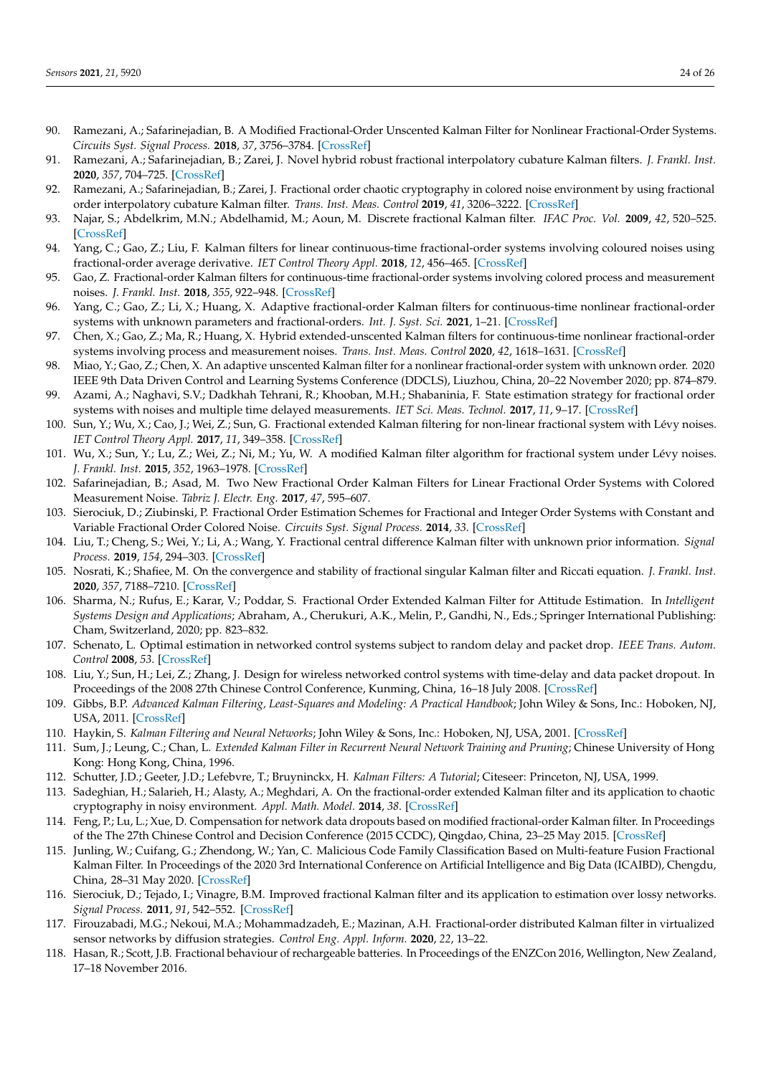- <span id="page-23-0"></span>90. Ramezani, A.; Safarinejadian, B. A Modified Fractional-Order Unscented Kalman Filter for Nonlinear Fractional-Order Systems. *Circuits Syst. Signal Process.* **2018**, *37*, 3756–3784. [\[CrossRef\]](http://dx.doi.org/10.1007/s00034-017-0729-9)
- <span id="page-23-1"></span>91. Ramezani, A.; Safarinejadian, B.; Zarei, J. Novel hybrid robust fractional interpolatory cubature Kalman filters. *J. Frankl. Inst.* **2020**, *357*, 704–725. [\[CrossRef\]](http://dx.doi.org/10.1016/j.jfranklin.2019.11.002)
- <span id="page-23-2"></span>92. Ramezani, A.; Safarinejadian, B.; Zarei, J. Fractional order chaotic cryptography in colored noise environment by using fractional order interpolatory cubature Kalman filter. *Trans. Inst. Meas. Control* **2019**, *41*, 3206–3222. [\[CrossRef\]](http://dx.doi.org/10.1177/0142331218822721)
- <span id="page-23-3"></span>93. Najar, S.; Abdelkrim, M.N.; Abdelhamid, M.; Aoun, M. Discrete fractional Kalman filter. *IFAC Proc. Vol.* **2009**, *42*, 520–525. [\[CrossRef\]](http://dx.doi.org/10.3182/20090921-3-TR-3005.00090)
- <span id="page-23-4"></span>94. Yang, C.; Gao, Z.; Liu, F. Kalman filters for linear continuous-time fractional-order systems involving coloured noises using fractional-order average derivative. *IET Control Theory Appl.* **2018**, *12*, 456–465. [\[CrossRef\]](http://dx.doi.org/10.1049/iet-cta.2017.0817)
- <span id="page-23-5"></span>95. Gao, Z. Fractional-order Kalman filters for continuous-time fractional-order systems involving colored process and measurement noises. *J. Frankl. Inst.* **2018**, *355*, 922–948. [\[CrossRef\]](http://dx.doi.org/10.1016/j.jfranklin.2017.11.037)
- <span id="page-23-6"></span>96. Yang, C.; Gao, Z.; Li, X.; Huang, X. Adaptive fractional-order Kalman filters for continuous-time nonlinear fractional-order systems with unknown parameters and fractional-orders. *Int. J. Syst. Sci.* **2021**, 1–21. [\[CrossRef\]](http://dx.doi.org/10.1080/00207721.2021.1904303)
- <span id="page-23-7"></span>97. Chen, X.; Gao, Z.; Ma, R.; Huang, X. Hybrid extended-unscented Kalman filters for continuous-time nonlinear fractional-order systems involving process and measurement noises. *Trans. Inst. Meas. Control* **2020**, *42*, 1618–1631. [\[CrossRef\]](http://dx.doi.org/10.1177/0142331219893788)
- <span id="page-23-8"></span>98. Miao, Y.; Gao, Z.; Chen, X. An adaptive unscented Kalman filter for a nonlinear fractional-order system with unknown order. 2020 IEEE 9th Data Driven Control and Learning Systems Conference (DDCLS), Liuzhou, China, 20–22 November 2020; pp. 874–879.
- <span id="page-23-9"></span>99. Azami, A.; Naghavi, S.V.; Dadkhah Tehrani, R.; Khooban, M.H.; Shabaninia, F. State estimation strategy for fractional order systems with noises and multiple time delayed measurements. *IET Sci. Meas. Technol.* **2017**, *11*, 9–17. [\[CrossRef\]](http://dx.doi.org/10.1049/iet-smt.2016.0089)
- <span id="page-23-10"></span>100. Sun, Y.; Wu, X.; Cao, J.; Wei, Z.; Sun, G. Fractional extended Kalman filtering for non-linear fractional system with Lévy noises. *IET Control Theory Appl.* **2017**, *11*, 349–358. [\[CrossRef\]](http://dx.doi.org/10.1049/iet-cta.2016.1041)
- <span id="page-23-11"></span>101. Wu, X.; Sun, Y.; Lu, Z.; Wei, Z.; Ni, M.; Yu, W. A modified Kalman filter algorithm for fractional system under Lévy noises. *J. Frankl. Inst.* **2015**, *352*, 1963–1978. [\[CrossRef\]](http://dx.doi.org/10.1016/j.jfranklin.2015.02.008)
- <span id="page-23-12"></span>102. Safarinejadian, B.; Asad, M. Two New Fractional Order Kalman Filters for Linear Fractional Order Systems with Colored Measurement Noise. *Tabriz J. Electr. Eng.* **2017**, *47*, 595–607.
- <span id="page-23-13"></span>103. Sierociuk, D.; Ziubinski, P. Fractional Order Estimation Schemes for Fractional and Integer Order Systems with Constant and Variable Fractional Order Colored Noise. *Circuits Syst. Signal Process.* **2014**, *33*. [\[CrossRef\]](http://dx.doi.org/10.1007/s00034-014-9835-0)
- <span id="page-23-14"></span>104. Liu, T.; Cheng, S.; Wei, Y.; Li, A.; Wang, Y. Fractional central difference Kalman filter with unknown prior information. *Signal Process.* **2019**, *154*, 294–303. [\[CrossRef\]](http://dx.doi.org/10.1016/j.sigpro.2018.08.006)
- <span id="page-23-15"></span>105. Nosrati, K.; Shafiee, M. On the convergence and stability of fractional singular Kalman filter and Riccati equation. *J. Frankl. Inst.* **2020**, *357*, 7188–7210. [\[CrossRef\]](http://dx.doi.org/10.1016/j.jfranklin.2020.03.029)
- <span id="page-23-16"></span>106. Sharma, N.; Rufus, E.; Karar, V.; Poddar, S. Fractional Order Extended Kalman Filter for Attitude Estimation. In *Intelligent Systems Design and Applications*; Abraham, A., Cherukuri, A.K., Melin, P., Gandhi, N., Eds.; Springer International Publishing: Cham, Switzerland, 2020; pp. 823–832.
- <span id="page-23-17"></span>107. Schenato, L. Optimal estimation in networked control systems subject to random delay and packet drop. *IEEE Trans. Autom. Control* **2008**, *53*. [\[CrossRef\]](http://dx.doi.org/10.1109/TAC.2008.921012)
- <span id="page-23-18"></span>108. Liu, Y.; Sun, H.; Lei, Z.; Zhang, J. Design for wireless networked control systems with time-delay and data packet dropout. In Proceedings of the 2008 27th Chinese Control Conference, Kunming, China, 16–18 July 2008. [\[CrossRef\]](http://dx.doi.org/10.1109/CHICC.2008.4605086)
- <span id="page-23-19"></span>109. Gibbs, B.P. *Advanced Kalman Filtering, Least-Squares and Modeling: A Practical Handbook*; John Wiley & Sons, Inc.: Hoboken, NJ, USA, 2011. [\[CrossRef\]](http://dx.doi.org/10.1002/9780470890042)
- <span id="page-23-21"></span>110. Haykin, S. *Kalman Filtering and Neural Networks*; John Wiley & Sons, Inc.: Hoboken, NJ, USA, 2001. [\[CrossRef\]](http://dx.doi.org/10.1002/0471221546)
- <span id="page-23-20"></span>111. Sum, J.; Leung, C.; Chan, L. *Extended Kalman Filter in Recurrent Neural Network Training and Pruning*; Chinese University of Hong Kong: Hong Kong, China, 1996.
- <span id="page-23-22"></span>112. Schutter, J.D.; Geeter, J.D.; Lefebvre, T.; Bruyninckx, H. *Kalman Filters: A Tutorial*; Citeseer: Princeton, NJ, USA, 1999.
- <span id="page-23-23"></span>113. Sadeghian, H.; Salarieh, H.; Alasty, A.; Meghdari, A. On the fractional-order extended Kalman filter and its application to chaotic cryptography in noisy environment. *Appl. Math. Model.* **2014**, *38*. [\[CrossRef\]](http://dx.doi.org/10.1016/j.apm.2013.07.011)
- <span id="page-23-24"></span>114. Feng, P.; Lu, L.; Xue, D. Compensation for network data dropouts based on modified fractional-order Kalman filter. In Proceedings of the The 27th Chinese Control and Decision Conference (2015 CCDC), Qingdao, China, 23–25 May 2015. [\[CrossRef\]](http://dx.doi.org/10.1109/CCDC.2015.7161716)
- <span id="page-23-25"></span>115. Junling, W.; Cuifang, G.; Zhendong, W.; Yan, C. Malicious Code Family Classification Based on Multi-feature Fusion Fractional Kalman Filter. In Proceedings of the 2020 3rd International Conference on Artificial Intelligence and Big Data (ICAIBD), Chengdu, China, 28–31 May 2020. [\[CrossRef\]](http://dx.doi.org/10.1109/ICAIBD49809.2020.9137472)
- <span id="page-23-26"></span>116. Sierociuk, D.; Tejado, I.; Vinagre, B.M. Improved fractional Kalman filter and its application to estimation over lossy networks. *Signal Process.* **2011**, *91*, 542–552. [\[CrossRef\]](http://dx.doi.org/10.1016/j.sigpro.2010.03.014)
- <span id="page-23-27"></span>117. Firouzabadi, M.G.; Nekoui, M.A.; Mohammadzadeh, E.; Mazinan, A.H. Fractional-order distributed Kalman filter in virtualized sensor networks by diffusion strategies. *Control Eng. Appl. Inform.* **2020**, *22*, 13–22.
- <span id="page-23-28"></span>118. Hasan, R.; Scott, J.B. Fractional behaviour of rechargeable batteries. In Proceedings of the ENZCon 2016, Wellington, New Zealand, 17–18 November 2016.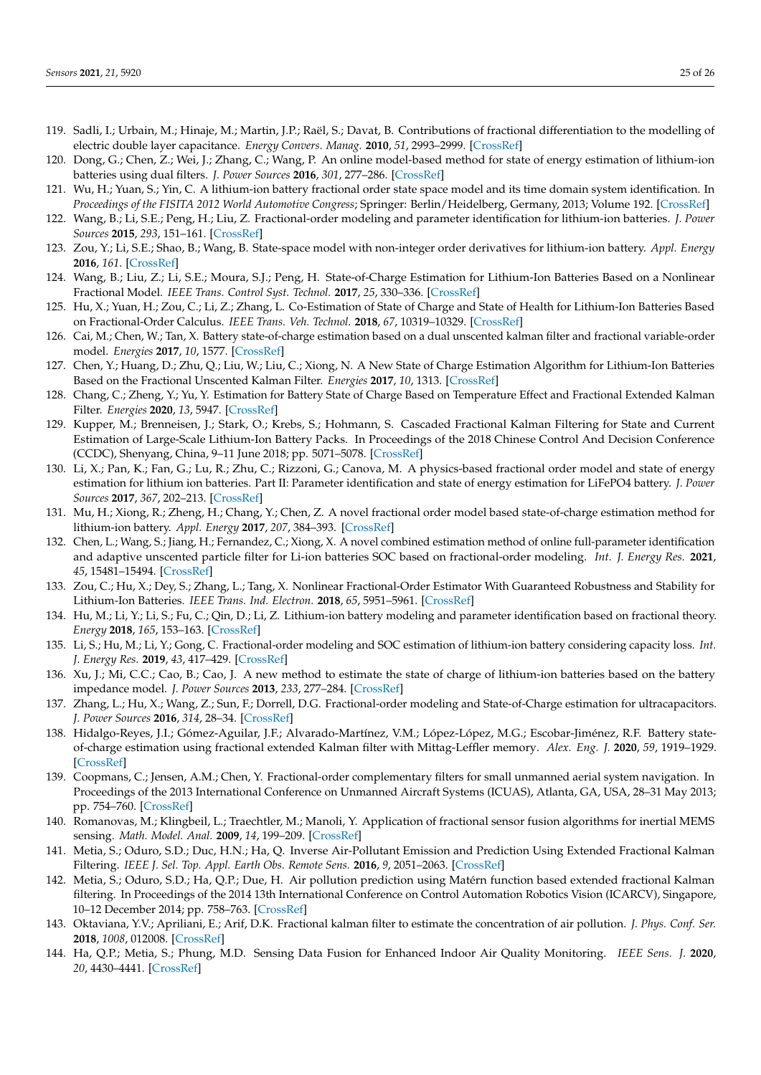- <span id="page-24-0"></span>119. Sadli, I.; Urbain, M.; Hinaje, M.; Martin, J.P.; Raël, S.; Davat, B. Contributions of fractional differentiation to the modelling of electric double layer capacitance. *Energy Convers. Manag.* **2010**, *51*, 2993–2999. [\[CrossRef\]](http://dx.doi.org/10.1016/j.enconman.2010.06.045)
- <span id="page-24-1"></span>120. Dong, G.; Chen, Z.; Wei, J.; Zhang, C.; Wang, P. An online model-based method for state of energy estimation of lithium-ion batteries using dual filters. *J. Power Sources* **2016**, *301*, 277–286. [\[CrossRef\]](http://dx.doi.org/10.1016/j.jpowsour.2015.10.011)
- <span id="page-24-2"></span>121. Wu, H.; Yuan, S.; Yin, C. A lithium-ion battery fractional order state space model and its time domain system identification. In *Proceedings of the FISITA 2012 World Automotive Congress*; Springer: Berlin/Heidelberg, Germany, 2013; Volume 192. [\[CrossRef\]](http://dx.doi.org/10.1007/978-3-642-33741-3_8)
- <span id="page-24-3"></span>122. Wang, B.; Li, S.E.; Peng, H.; Liu, Z. Fractional-order modeling and parameter identification for lithium-ion batteries. *J. Power Sources* **2015**, *293*, 151–161. [\[CrossRef\]](http://dx.doi.org/10.1016/j.jpowsour.2015.05.059)
- 123. Zou, Y.; Li, S.E.; Shao, B.; Wang, B. State-space model with non-integer order derivatives for lithium-ion battery. *Appl. Energy* **2016**, *161*. [\[CrossRef\]](http://dx.doi.org/10.1016/j.apenergy.2015.10.025)
- <span id="page-24-4"></span>124. Wang, B.; Liu, Z.; Li, S.E.; Moura, S.J.; Peng, H. State-of-Charge Estimation for Lithium-Ion Batteries Based on a Nonlinear Fractional Model. *IEEE Trans. Control Syst. Technol.* **2017**, *25*, 330–336. [\[CrossRef\]](http://dx.doi.org/10.1109/TCST.2016.2557221)
- <span id="page-24-5"></span>125. Hu, X.; Yuan, H.; Zou, C.; Li, Z.; Zhang, L. Co-Estimation of State of Charge and State of Health for Lithium-Ion Batteries Based on Fractional-Order Calculus. *IEEE Trans. Veh. Technol.* **2018**, *67*, 10319–10329. [\[CrossRef\]](http://dx.doi.org/10.1109/TVT.2018.2865664)
- <span id="page-24-6"></span>126. Cai, M.; Chen, W.; Tan, X. Battery state-of-charge estimation based on a dual unscented kalman filter and fractional variable-order model. *Energies* **2017**, *10*, 1577. [\[CrossRef\]](http://dx.doi.org/10.3390/en10101577)
- <span id="page-24-7"></span>127. Chen, Y.; Huang, D.; Zhu, Q.; Liu, W.; Liu, C.; Xiong, N. A New State of Charge Estimation Algorithm for Lithium-Ion Batteries Based on the Fractional Unscented Kalman Filter. *Energies* **2017**, *10*, 1313. [\[CrossRef\]](http://dx.doi.org/10.3390/en10091313)
- <span id="page-24-8"></span>128. Chang, C.; Zheng, Y.; Yu, Y. Estimation for Battery State of Charge Based on Temperature Effect and Fractional Extended Kalman Filter. *Energies* **2020**, *13*, 5947. [\[CrossRef\]](http://dx.doi.org/10.3390/en13225947)
- <span id="page-24-9"></span>129. Kupper, M.; Brenneisen, J.; Stark, O.; Krebs, S.; Hohmann, S. Cascaded Fractional Kalman Filtering for State and Current Estimation of Large-Scale Lithium-Ion Battery Packs. In Proceedings of the 2018 Chinese Control And Decision Conference (CCDC), Shenyang, China, 9–11 June 2018; pp. 5071–5078. [\[CrossRef\]](http://dx.doi.org/10.1109/CCDC.2018.8408010)
- <span id="page-24-10"></span>130. Li, X.; Pan, K.; Fan, G.; Lu, R.; Zhu, C.; Rizzoni, G.; Canova, M. A physics-based fractional order model and state of energy estimation for lithium ion batteries. Part II: Parameter identification and state of energy estimation for LiFePO4 battery. *J. Power Sources* **2017**, *367*, 202–213. [\[CrossRef\]](http://dx.doi.org/10.1016/j.jpowsour.2017.09.048)
- <span id="page-24-11"></span>131. Mu, H.; Xiong, R.; Zheng, H.; Chang, Y.; Chen, Z. A novel fractional order model based state-of-charge estimation method for lithium-ion battery. *Appl. Energy* **2017**, *207*, 384–393. [\[CrossRef\]](http://dx.doi.org/10.1016/j.apenergy.2017.07.003)
- <span id="page-24-12"></span>132. Chen, L.; Wang, S.; Jiang, H.; Fernandez, C.; Xiong, X. A novel combined estimation method of online full-parameter identification and adaptive unscented particle filter for Li-ion batteries SOC based on fractional-order modeling. *Int. J. Energy Res.* **2021**, *45*, 15481–15494. [\[CrossRef\]](http://dx.doi.org/10.1002/er.6817)
- <span id="page-24-13"></span>133. Zou, C.; Hu, X.; Dey, S.; Zhang, L.; Tang, X. Nonlinear Fractional-Order Estimator With Guaranteed Robustness and Stability for Lithium-Ion Batteries. *IEEE Trans. Ind. Electron.* **2018**, *65*, 5951–5961. [\[CrossRef\]](http://dx.doi.org/10.1109/TIE.2017.2782691)
- <span id="page-24-14"></span>134. Hu, M.; Li, Y.; Li, S.; Fu, C.; Qin, D.; Li, Z. Lithium-ion battery modeling and parameter identification based on fractional theory. *Energy* **2018**, *165*, 153–163. [\[CrossRef\]](http://dx.doi.org/10.1016/j.energy.2018.09.101)
- <span id="page-24-15"></span>135. Li, S.; Hu, M.; Li, Y.; Gong, C. Fractional-order modeling and SOC estimation of lithium-ion battery considering capacity loss. *Int. J. Energy Res.* **2019**, *43*, 417–429. [\[CrossRef\]](http://dx.doi.org/10.1002/er.4275)
- <span id="page-24-16"></span>136. Xu, J.; Mi, C.C.; Cao, B.; Cao, J. A new method to estimate the state of charge of lithium-ion batteries based on the battery impedance model. *J. Power Sources* **2013**, *233*, 277–284. [\[CrossRef\]](http://dx.doi.org/10.1016/j.jpowsour.2013.01.094)
- <span id="page-24-17"></span>137. Zhang, L.; Hu, X.; Wang, Z.; Sun, F.; Dorrell, D.G. Fractional-order modeling and State-of-Charge estimation for ultracapacitors. *J. Power Sources* **2016**, *314*, 28–34. [\[CrossRef\]](http://dx.doi.org/10.1016/j.jpowsour.2016.01.066)
- <span id="page-24-18"></span>138. Hidalgo-Reyes, J.I.; Gómez-Aguilar, J.F.; Alvarado-Martínez, V.M.; López-López, M.G.; Escobar-Jiménez, R.F. Battery stateof-charge estimation using fractional extended Kalman filter with Mittag-Leffler memory. *Alex. Eng. J.* **2020**, *59*, 1919–1929. [\[CrossRef\]](http://dx.doi.org/10.1016/j.aej.2019.12.006)
- <span id="page-24-19"></span>139. Coopmans, C.; Jensen, A.M.; Chen, Y. Fractional-order complementary filters for small unmanned aerial system navigation. In Proceedings of the 2013 International Conference on Unmanned Aircraft Systems (ICUAS), Atlanta, GA, USA, 28–31 May 2013; pp. 754–760. [\[CrossRef\]](http://dx.doi.org/10.1109/ICUAS.2013.6564757)
- <span id="page-24-20"></span>140. Romanovas, M.; Klingbeil, L.; Traechtler, M.; Manoli, Y. Application of fractional sensor fusion algorithms for inertial MEMS sensing. *Math. Model. Anal.* **2009**, *14*, 199–209. [\[CrossRef\]](http://dx.doi.org/10.3846/1392-6292.2009.14.199-209)
- <span id="page-24-21"></span>141. Metia, S.; Oduro, S.D.; Duc, H.N.; Ha, Q. Inverse Air-Pollutant Emission and Prediction Using Extended Fractional Kalman Filtering. *IEEE J. Sel. Top. Appl. Earth Obs. Remote Sens.* **2016**, *9*, 2051–2063. [\[CrossRef\]](http://dx.doi.org/10.1109/JSTARS.2016.2541958)
- <span id="page-24-22"></span>142. Metia, S.; Oduro, S.D.; Ha, Q.P.; Due, H. Air pollution prediction using Matérn function based extended fractional Kalman filtering. In Proceedings of the 2014 13th International Conference on Control Automation Robotics Vision (ICARCV), Singapore, 10–12 December 2014; pp. 758–763. [\[CrossRef\]](http://dx.doi.org/10.1109/ICARCV.2014.7064399)
- <span id="page-24-23"></span>143. Oktaviana, Y.V.; Apriliani, E.; Arif, D.K. Fractional kalman filter to estimate the concentration of air pollution. *J. Phys. Conf. Ser.* **2018**, *1008*, 012008. [\[CrossRef\]](http://dx.doi.org/10.1088/1742-6596/1008/1/012008)
- <span id="page-24-24"></span>144. Ha, Q.P.; Metia, S.; Phung, M.D. Sensing Data Fusion for Enhanced Indoor Air Quality Monitoring. *IEEE Sens. J.* **2020**, *20*, 4430–4441. [\[CrossRef\]](http://dx.doi.org/10.1109/JSEN.2020.2964396)